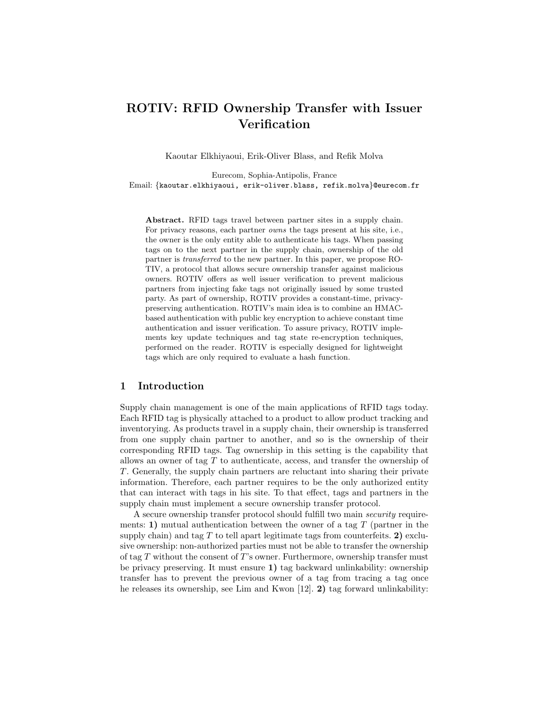# ROTIV: RFID Ownership Transfer with Issuer Verification

Kaoutar Elkhiyaoui, Erik-Oliver Blass, and Refik Molva

Eurecom, Sophia-Antipolis, France Email: {kaoutar.elkhiyaoui, erik-oliver.blass, refik.molva}@eurecom.fr

Abstract. RFID tags travel between partner sites in a supply chain. For privacy reasons, each partner owns the tags present at his site, i.e., the owner is the only entity able to authenticate his tags. When passing tags on to the next partner in the supply chain, ownership of the old partner is transferred to the new partner. In this paper, we propose RO-TIV, a protocol that allows secure ownership transfer against malicious owners. ROTIV offers as well issuer verification to prevent malicious partners from injecting fake tags not originally issued by some trusted party. As part of ownership, ROTIV provides a constant-time, privacypreserving authentication. ROTIV's main idea is to combine an HMACbased authentication with public key encryption to achieve constant time authentication and issuer verification. To assure privacy, ROTIV implements key update techniques and tag state re-encryption techniques, performed on the reader. ROTIV is especially designed for lightweight tags which are only required to evaluate a hash function.

## 1 Introduction

Supply chain management is one of the main applications of RFID tags today. Each RFID tag is physically attached to a product to allow product tracking and inventorying. As products travel in a supply chain, their ownership is transferred from one supply chain partner to another, and so is the ownership of their corresponding RFID tags. Tag ownership in this setting is the capability that allows an owner of tag  $T$  to authenticate, access, and transfer the ownership of T. Generally, the supply chain partners are reluctant into sharing their private information. Therefore, each partner requires to be the only authorized entity that can interact with tags in his site. To that effect, tags and partners in the supply chain must implement a secure ownership transfer protocol.

A secure ownership transfer protocol should fulfill two main security requirements: 1) mutual authentication between the owner of a tag  $T$  (partner in the supply chain) and tag  $T$  to tell apart legitimate tags from counterfeits. 2) exclusive ownership: non-authorized parties must not be able to transfer the ownership of tag  $T$  without the consent of  $T$ 's owner. Furthermore, ownership transfer must be privacy preserving. It must ensure 1) tag backward unlinkability: ownership transfer has to prevent the previous owner of a tag from tracing a tag once he releases its ownership, see Lim and Kwon [12]. 2) tag forward unlinkability: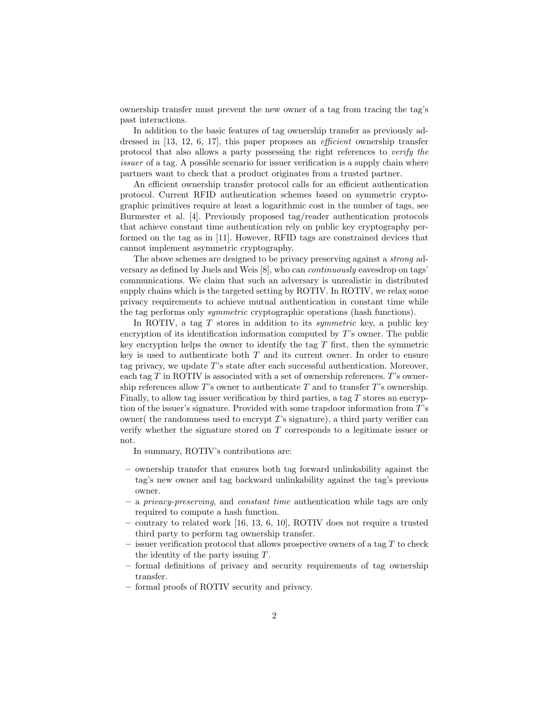ownership transfer must prevent the new owner of a tag from tracing the tag's past interactions.

In addition to the basic features of tag ownership transfer as previously addressed in [13, 12, 6, 17], this paper proposes an efficient ownership transfer protocol that also allows a party possessing the right references to verify the issuer of a tag. A possible scenario for issuer verification is a supply chain where partners want to check that a product originates from a trusted partner.

An efficient ownership transfer protocol calls for an efficient authentication protocol. Current RFID authentication schemes based on symmetric cryptographic primitives require at least a logarithmic cost in the number of tags, see Burmester et al. [4]. Previously proposed tag/reader authentication protocols that achieve constant time authentication rely on public key cryptography performed on the tag as in [11]. However, RFID tags are constrained devices that cannot implement asymmetric cryptography.

The above schemes are designed to be privacy preserving against a strong adversary as defined by Juels and Weis [8], who can continuously eavesdrop on tags' communications. We claim that such an adversary is unrealistic in distributed supply chains which is the targeted setting by ROTIV. In ROTIV, we relax some privacy requirements to achieve mutual authentication in constant time while the tag performs only symmetric cryptographic operations (hash functions).

In ROTIV, a tag  $T$  stores in addition to its *symmetric* key, a public key encryption of its identification information computed by T's owner. The public key encryption helps the owner to identify the tag  $T$  first, then the symmetric key is used to authenticate both  $T$  and its current owner. In order to ensure tag privacy, we update T's state after each successful authentication. Moreover, each tag  $T$  in ROTIV is associated with a set of ownership references.  $T$ 's ownership references allow  $T$ 's owner to authenticate  $T$  and to transfer  $T$ 's ownership. Finally, to allow tag issuer verification by third parties, a tag  $T$  stores an encryption of the issuer's signature. Provided with some trapdoor information from T's owner( the randomness used to encrypt  $\mathcal{I}$ 's signature), a third party verifier can verify whether the signature stored on T corresponds to a legitimate issuer or not.

In summary, ROTIV's contributions are:

- ownership transfer that ensures both tag forward unlinkability against the tag's new owner and tag backward unlinkability against the tag's previous owner.
- a privacy-preserving, and constant time authentication while tags are only required to compute a hash function.
- contrary to related work [16, 13, 6, 10], ROTIV does not require a trusted third party to perform tag ownership transfer.
- issuer verification protocol that allows prospective owners of a tag  $T$  to check the identity of the party issuing T.
- formal definitions of privacy and security requirements of tag ownership transfer.
- formal proofs of ROTIV security and privacy.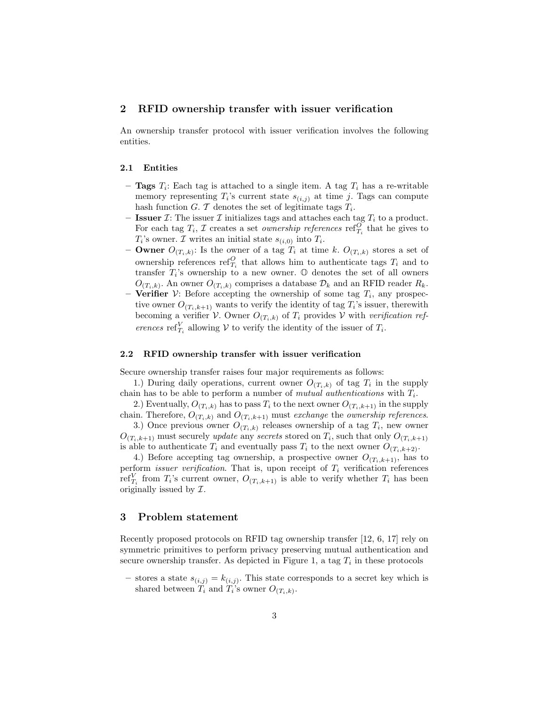## 2 RFID ownership transfer with issuer verification

An ownership transfer protocol with issuer verification involves the following entities.

## 2.1 Entities

- **Tags**  $T_i$ : Each tag is attached to a single item. A tag  $T_i$  has a re-writable memory representing  $T_i$ 's current state  $s_{(i,j)}$  at time j. Tags can compute hash function  $G$ .  $\mathcal T$  denotes the set of legitimate tags  $T_i$ .
- Issuer  $\mathcal{I}:$  The issuer  $\mathcal{I}$  initializes tags and attaches each tag  $T_i$  to a product. For each tag  $T_i$ ,  $\mathcal I$  creates a set *ownership references* ref<sub> $T_i$ </sub> that he gives to  $T_i$ 's owner.  $\mathcal I$  writes an initial state  $s_{(i,0)}$  into  $T_i$ .
- **Owner**  $O_{(T_i,k)}$ : Is the owner of a tag  $T_i$  at time k.  $O_{(T_i,k)}$  stores a set of ownership references  $\text{ref}_{T_i}^O$  that allows him to authenticate tags  $T_i$  and to transfer  $T_i$ 's ownership to a new owner.  $\mathbb O$  denotes the set of all owners  $O_{(T_i,k)}$ . An owner  $O_{(T_i,k)}$  comprises a database  $\mathcal{D}_k$  and an RFID reader  $R_k$ .
- Verifier V: Before accepting the ownership of some tag  $T_i$ , any prospective owner  $O_{(T_i,k+1)}$  wants to verify the identity of tag  $T_i$ 's issuer, therewith becoming a verifier V. Owner  $O_{(T_i,k)}$  of  $T_i$  provides V with verification references  $\text{ref}_{T_i}^V$  allowing  $V$  to verify the identity of the issuer of  $T_i$ .

#### 2.2 RFID ownership transfer with issuer verification

Secure ownership transfer raises four major requirements as follows:

1.) During daily operations, current owner  $O_{(T_i,k)}$  of tag  $T_i$  in the supply chain has to be able to perform a number of *mutual authentications* with  $T_i$ .

2.) Eventually,  $O_{(T_i,k)}$  has to pass  $T_i$  to the next owner  $O_{(T_i,k+1)}$  in the supply chain. Therefore,  $O_{(T_i,k)}$  and  $O_{(T_i,k+1)}$  must exchange the ownership references.

3.) Once previous owner  $O_{(T_i,k)}$  releases ownership of a tag  $T_i$ , new owner  $O_{(T_i,k+1)}$  must securely *update* any *secrets* stored on  $T_i$ , such that only  $O_{(T_i,k+1)}$ is able to authenticate  $T_i$  and eventually pass  $T_i$  to the next owner  $O_{(T_i,k+2)}$ .

4.) Before accepting tag ownership, a prospective owner  $O_{(T_i,k+1)}$ , has to perform *issuer verification*. That is, upon receipt of  $T_i$  verification references ref<sup>V</sup><sub>T<sub>i</sub></sub> from T<sub>i</sub>'s current owner,  $O_{(T_i,k+1)}$  is able to verify whether T<sub>i</sub> has been originally issued by  $\mathcal{I}.$ 

# 3 Problem statement

Recently proposed protocols on RFID tag ownership transfer [12, 6, 17] rely on symmetric primitives to perform privacy preserving mutual authentication and secure ownership transfer. As depicted in Figure 1, a tag  $T_i$  in these protocols

- stores a state  $s_{(i,j)} = k_{(i,j)}$ . This state corresponds to a secret key which is shared between  $T_i$  and  $T_i$ 's owner  $O_{(T_i,k)}$ .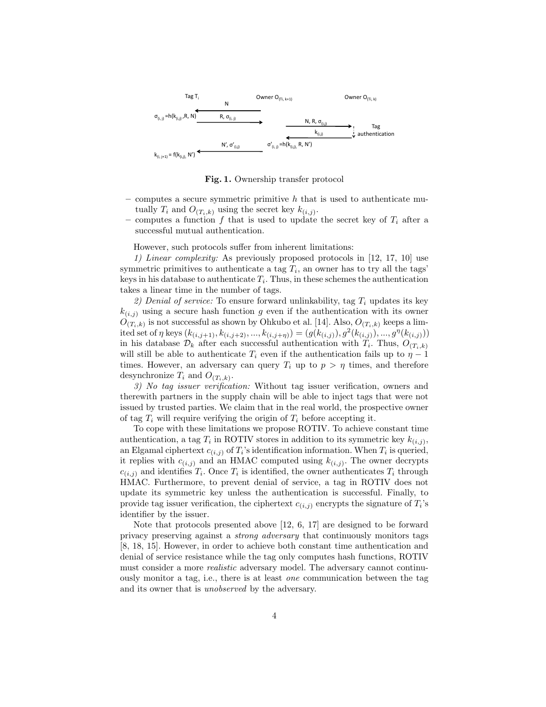

Fig. 1. Ownership transfer protocol

- computes a secure symmetric primitive  $h$  that is used to authenticate mutually  $T_i$  and  $O_{(T_i,k)}$  using the secret key  $k_{(i,j)}$ .
- computes a function f that is used to update the secret key of  $T_i$  after a successful mutual authentication.

However, such protocols suffer from inherent limitations:

1) Linear complexity: As previously proposed protocols in [12, 17, 10] use symmetric primitives to authenticate a tag  $T_i$ , an owner has to try all the tags' keys in his database to authenticate  $T_i$ . Thus, in these schemes the authentication takes a linear time in the number of tags.

2) Denial of service: To ensure forward unlinkability, tag  $T_i$  updates its key  $k_{(i,j)}$  using a secure hash function g even if the authentication with its owner  $O_{(T_i,k)}$  is not successful as shown by Ohkubo et al. [14]. Also,  $O_{(T_i,k)}$  keeps a limited set of  $\eta$  keys  $(k_{(i,j+1)}, k_{(i,j+2)}, ..., k_{(i,j+\eta)}) = (g(k_{(i,j)}), g^2(k_{(i,j)}), ..., g^{\eta}(k_{(i,j)}))$ in his database  $\mathcal{D}_k$  after each successful authentication with  $T_i$ . Thus,  $O_{(T_i,k)}$ will still be able to authenticate  $T_i$  even if the authentication fails up to  $\eta - 1$ times. However, an adversary can query  $T_i$  up to  $p > \eta$  times, and therefore desynchronize  $T_i$  and  $O_{(T_i,k)}$ .

3) No tag issuer verification: Without tag issuer verification, owners and therewith partners in the supply chain will be able to inject tags that were not issued by trusted parties. We claim that in the real world, the prospective owner of tag  $T_i$  will require verifying the origin of  $T_i$  before accepting it.

To cope with these limitations we propose ROTIV. To achieve constant time authentication, a tag  $T_i$  in ROTIV stores in addition to its symmetric key  $k_{(i,j)}$ , an Elgamal ciphertext  $c_{(i,j)}$  of  $T_i$ 's identification information. When  $T_i$  is queried, it replies with  $c_{(i,j)}$  and an HMAC computed using  $k_{(i,j)}$ . The owner decrypts  $c_{(i,j)}$  and identifies  $T_i$ . Once  $T_i$  is identified, the owner authenticates  $T_i$  through HMAC. Furthermore, to prevent denial of service, a tag in ROTIV does not update its symmetric key unless the authentication is successful. Finally, to provide tag issuer verification, the ciphertext  $c_{(i,j)}$  encrypts the signature of  $T_i$ 's identifier by the issuer.

Note that protocols presented above [12, 6, 17] are designed to be forward privacy preserving against a strong adversary that continuously monitors tags [8, 18, 15]. However, in order to achieve both constant time authentication and denial of service resistance while the tag only computes hash functions, ROTIV must consider a more *realistic* adversary model. The adversary cannot continuously monitor a tag, i.e., there is at least one communication between the tag and its owner that is unobserved by the adversary.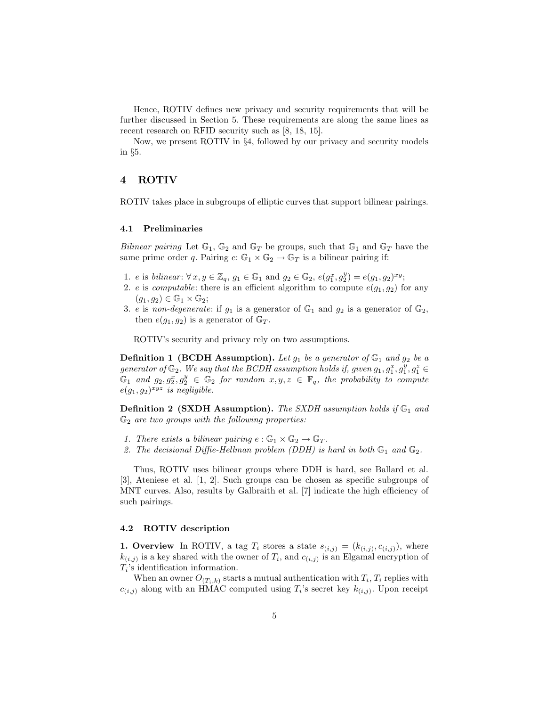Hence, ROTIV defines new privacy and security requirements that will be further discussed in Section 5. These requirements are along the same lines as recent research on RFID security such as [8, 18, 15].

Now, we present ROTIV in §4, followed by our privacy and security models in §5.

# 4 ROTIV

ROTIV takes place in subgroups of elliptic curves that support bilinear pairings.

# 4.1 Preliminaries

Bilinear pairing Let  $\mathbb{G}_1$ ,  $\mathbb{G}_2$  and  $\mathbb{G}_T$  be groups, such that  $\mathbb{G}_1$  and  $\mathbb{G}_T$  have the same prime order q. Pairing  $e: \mathbb{G}_1 \times \mathbb{G}_2 \to \mathbb{G}_T$  is a bilinear pairing if:

- 1. e is bilinear:  $\forall x, y \in \mathbb{Z}_q$ ,  $g_1 \in \mathbb{G}_1$  and  $g_2 \in \mathbb{G}_2$ ,  $e(g_1^x, g_2^y) = e(g_1, g_2)^{xy}$ ;
- 2. e is computable: there is an efficient algorithm to compute  $e(g_1, g_2)$  for any  $(g_1, g_2) \in \mathbb{G}_1 \times \mathbb{G}_2;$
- 3. e is non-degenerate: if  $g_1$  is a generator of  $\mathbb{G}_1$  and  $g_2$  is a generator of  $\mathbb{G}_2$ , then  $e(g_1, g_2)$  is a generator of  $\mathbb{G}_T$ .

ROTIV's security and privacy rely on two assumptions.

**Definition 1 (BCDH Assumption).** Let  $g_1$  be a generator of  $\mathbb{G}_1$  and  $g_2$  be a generator of  $\mathbb{G}_2$ . We say that the BCDH assumption holds if, given  $g_1, g_1^x, g_1^y, g_1^z \in$  $\mathbb{G}_1$  and  $g_2, g_2^x, g_2^y \in \mathbb{G}_2$  for random  $x, y, z \in \mathbb{F}_q$ , the probability to compute  $e(g_1, g_2)^{xyz}$  is negligible.

**Definition 2 (SXDH Assumption).** The SXDH assumption holds if  $\mathbb{G}_1$  and  $\mathbb{G}_2$  are two groups with the following properties:

- 1. There exists a bilinear pairing  $e : \mathbb{G}_1 \times \mathbb{G}_2 \to \mathbb{G}_T$ .
- 2. The decisional Diffie-Hellman problem (DDH) is hard in both  $\mathbb{G}_1$  and  $\mathbb{G}_2$ .

Thus, ROTIV uses bilinear groups where DDH is hard, see Ballard et al. [3], Ateniese et al. [1, 2]. Such groups can be chosen as specific subgroups of MNT curves. Also, results by Galbraith et al. [7] indicate the high efficiency of such pairings.

## 4.2 ROTIV description

**1. Overview** In ROTIV, a tag  $T_i$  stores a state  $s_{(i,j)} = (k_{(i,j)}, c_{(i,j)})$ , where  $k_{(i,j)}$  is a key shared with the owner of  $T_i$ , and  $c_{(i,j)}$  is an Elgamal encryption of  $T_i$ 's identification information.

When an owner  $O_{(T_i,k)}$  starts a mutual authentication with  $T_i, T_i$  replies with  $c_{(i,j)}$  along with an HMAC computed using  $T_i$ 's secret key  $k_{(i,j)}$ . Upon receipt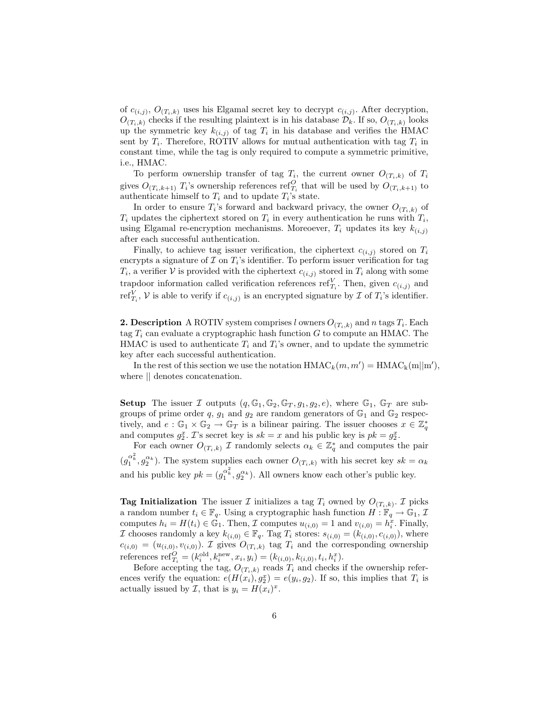of  $c_{(i,j)}$ ,  $O_{(T_i,k)}$  uses his Elgamal secret key to decrypt  $c_{(i,j)}$ . After decryption,  $O_{(T_i,k)}$  checks if the resulting plaintext is in his database  $\mathcal{D}_k$ . If so,  $O_{(T_i,k)}$  looks up the symmetric key  $k_{(i,j)}$  of tag  $T_i$  in his database and verifies the HMAC sent by  $T_i$ . Therefore, ROTIV allows for mutual authentication with tag  $T_i$  in constant time, while the tag is only required to compute a symmetric primitive, i.e., HMAC.

To perform ownership transfer of tag  $T_i$ , the current owner  $O_{(T_i,k)}$  of  $T_i$ gives  $O_{(T_i,k+1)}$   $T_i$ 's ownership references ref $_{T_i}^O$  that will be used by  $O_{(T_i,k+1)}$  to authenticate himself to  $T_i$  and to update  $T_i$ 's state.

In order to ensure  $T_i$ 's forward and backward privacy, the owner  $O_{(T_i,k)}$  of  $T_i$  updates the ciphertext stored on  $T_i$  in every authentication he runs with  $T_i$ , using Elgamal re-encryption mechanisms. Moreoever,  $T_i$  updates its key  $k_{(i,j)}$ after each successful authentication.

Finally, to achieve tag issuer verification, the ciphertext  $c_{(i,j)}$  stored on  $T_i$ encrypts a signature of  $\mathcal I$  on  $T_i$ 's identifier. To perform issuer verification for tag  $T_i$ , a verifier V is provided with the ciphertext  $c_{(i,j)}$  stored in  $T_i$  along with some trapdoor information called verification references  $\text{ref}_{T_i}^V$ . Then, given  $c_{(i,j)}$  and ref<sup>V</sup><sub>T<sub>i</sub></sub>, V is able to verify if  $c_{(i,j)}$  is an encrypted signature by  $\mathcal I$  of  $T_i$ 's identifier.

**2. Description** A ROTIV system comprises l owners  $O_{(T_i,k)}$  and n tags  $T_i$ . Each tag  $T_i$  can evaluate a cryptographic hash function  $G$  to compute an HMAC. The HMAC is used to authenticate  $T_i$  and  $T_i$ 's owner, and to update the symmetric key after each successful authentication.

In the rest of this section we use the notation  $HMAC_k(m, m') = HMAC_k(m||m'),$ where || denotes concatenation.

**Setup** The issuer *I* outputs  $(q, \mathbb{G}_1, \mathbb{G}_2, \mathbb{G}_T, g_1, g_2, e)$ , where  $\mathbb{G}_1$ ,  $\mathbb{G}_T$  are subgroups of prime order q,  $g_1$  and  $g_2$  are random generators of  $\mathbb{G}_1$  and  $\mathbb{G}_2$  respectively, and  $e : \mathbb{G}_1 \times \mathbb{G}_2 \to \mathbb{G}_T$  is a bilinear pairing. The issuer chooses  $x \in \mathbb{Z}_q^*$ and computes  $g_2^x$ . T's secret key is  $sk = x$  and his public key is  $pk = g_2^x$ .

For each owner  $O_{(T_i,k)}$  I randomly selects  $\alpha_k \in \mathbb{Z}_q^*$  and computes the pair  $(g_1^{\alpha_k^2}, g_2^{\alpha_k})$ . The system supplies each owner  $O_{(T_i,k)}$  with his secret key  $sk = \alpha_k$ and his public key  $pk = (g_1^{\alpha_k^2}, g_2^{\alpha_k})$ . All owners know each other's public key.

**Tag Initialization** The issuer  $\mathcal{I}$  initializes a tag  $T_i$  owned by  $O_{(T_i,k)}$ .  $\mathcal{I}$  picks a random number  $t_i \in \mathbb{F}_q$ . Using a cryptographic hash function  $H : \mathbb{F}_q \to \mathbb{G}_1$ ,  $\mathcal{I}$ computes  $h_i = H(t_i) \in \mathbb{G}_1$ . Then, *I* computes  $u_{(i,0)} = 1$  and  $v_{(i,0)} = h_i^x$ . Finally, *I* chooses randomly a key  $k_{(i,0)} \in \mathbb{F}_q$ . Tag  $T_i$  stores:  $s_{(i,0)} = (k_{(i,0)}, c_{(i,0)})$ , where  $c_{(i,0)} = (u_{(i,0)}, v_{(i,0)})$ . *I* gives  $O_{(T_i,k)}$  tag  $T_i$  and the corresponding ownership references  $\text{ref}_{T_i}^O = (k_i^{\text{old}}, k_i^{\text{new}}, x_i, y_i) = (k_{(i,0)}, k_{(i,0)}, t_i, h_i^x).$ 

Before accepting the tag,  $O_{(T_i,k)}$  reads  $T_i$  and checks if the ownership references verify the equation:  $e(H(x_i), g_2^x) = e(y_i, g_2)$ . If so, this implies that  $T_i$  is actually issued by  $\mathcal{I}$ , that is  $y_i = H(x_i)^x$ .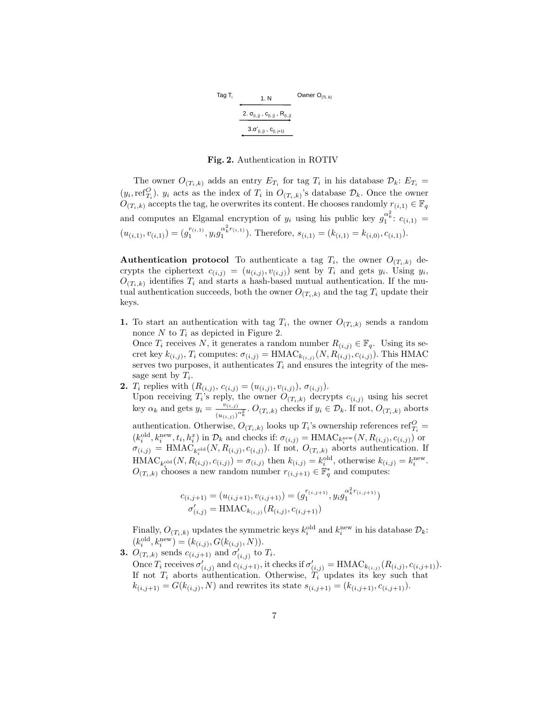| Tag T <sub>i</sub> | 1. N                                               | Owner $O_{(Ti, k)}$ |
|--------------------|----------------------------------------------------|---------------------|
|                    | 2. $\sigma_{(i, j)}$ , $c_{(i, j)}$ , $R_{(i, j)}$ |                     |
|                    | $3.\sigma'_{(i,\;j)}$ , $c_{(i,\;j+1)}$            |                     |

Fig. 2. Authentication in ROTIV

The owner  $O_{(T_i,k)}$  adds an entry  $E_{T_i}$  for tag  $T_i$  in his database  $\mathcal{D}_k$ :  $E_{T_i}$  =  $(y_i, \text{ref}_{T_i}^O)$ .  $y_i$  acts as the index of  $T_i$  in  $O_{(T_i,k)}$ 's database  $\mathcal{D}_k$ . Once the owner  $O_{(T_i,k)}$  accepts the tag, he overwrites its content. He chooses randomly  $r_{(i,1)} \in \mathbb{F}_q$ and computes an Elgamal encryption of  $y_i$  using his public key  $g_1^{\alpha_k^2}: c_{(i,1)} =$  $(u_{(i,1)}, v_{(i,1)}) = (g_1^{r_{(i,1)}}, y_i g_1^{\alpha_k^2 r_{(i,1)}})$ . Therefore,  $s_{(i,1)} = (k_{(i,1)} = k_{(i,0)}, c_{(i,1)})$ .

Authentication protocol To authenticate a tag  $T_i$ , the owner  $O_{(T_i,k)}$  decrypts the ciphertext  $c_{(i,j)} = (u_{(i,j)}, v_{(i,j)})$  sent by  $T_i$  and gets  $y_i$ . Using  $y_i$ ,  $O_{(T_i,k)}$  identifies  $T_i$  and starts a hash-based mutual authentication. If the mutual authentication succeeds, both the owner  $O_{(T_i,k)}$  and the tag  $T_i$  update their keys.

**1.** To start an authentication with tag  $T_i$ , the owner  $O_{(T_i,k)}$  sends a random nonce  $N$  to  $T_i$  as depicted in Figure 2.

Once  $T_i$  receives N, it generates a random number  $R_{(i,j)} \in \mathbb{F}_q$ . Using its secret key  $k_{(i,j)}$ ,  $T_i$  computes:  $\sigma_{(i,j)} = \text{HMAC}_{k_{(i,j)}}(N, R_{(i,j)}, c_{(i,j)})$ . This HMAC serves two purposes, it authenticates  $T_i$  and ensures the integrity of the message sent by  $T_i$ .

**2.**  $T_i$  replies with  $(R_{(i,j)}, c_{(i,j)} = (u_{(i,j)}, v_{(i,j)}), \sigma_{(i,j)}).$ 

Upon receiving  $T_i$ 's reply, the owner  $O_{(T_i,k)}$  decrypts  $c_{(i,j)}$  using his secret key  $\alpha_k$  and gets  $y_i = \frac{v_{(i,j)}}{\sqrt{2}}$  $\frac{v_{(i,j)}}{(u_{(i,j)})^{\alpha_k^2}}$ .  $O_{(T_i,k)}$  checks if  $y_i \in \mathcal{D}_k$ . If not,  $O_{(T_i,k)}$  aborts authentication. Otherwise,  $O_{(T_i,k)}$  looks up  $T_i$ 's ownership references ref $_{T_i}^O$  =  $(k_i^{\text{old}}, k_i^{\text{new}}, t_i, h_i^x)$  in  $\mathcal{D}_k$  and checks if:  $\sigma_{(i,j)} = \text{HMAC}_{k_i^{\text{new}}}(N, R_{(i,j)}, c_{(i,j)})$  or  $\sigma_{(i,j)} = \text{HMAC}_{k_i^{\text{old}}}(N, R_{(i,j)}, c_{(i,j)})$ . If not,  $O_{(T_i,k)}$  aborts authentication. If  $\text{HMAC}_{k_i^{\text{old}}}(N, R_{(i,j)}, c_{(i,j)}) = \sigma_{(i,j)}$  then  $k_{(i,j)} = k_i^{\text{old}}$ , otherwise  $k_{(i,j)} = k_i^{\text{new}}$ .  $O_{(T_i,k)}$  chooses a new random number  $r_{(i,j+1)} \in \mathbb{F}_q^*$  and computes:

$$
c_{(i,j+1)} = (u_{(i,j+1)}, v_{(i,j+1)}) = (g_1^{r_{(i,j+1)}}, y_i g_1^{\alpha_k^2 r_{(i,j+1)}})
$$

$$
\sigma'_{(i,j)} = \text{HMAC}_{k_{(i,j)}}(R_{(i,j)}, c_{(i,j+1)})
$$

Finally,  $O_{(T_i,k)}$  updates the symmetric keys  $k_i^{\text{old}}$  and  $k_i^{\text{new}}$  in his database  $\mathcal{D}_k$ :  $(k_i^{\text{old}}, k_i^{\text{new}}) = (k_{(i,j)}, G(k_{(i,j)}, N)).$ 

**3.**  $O_{(T_i,k)}$  sends  $c_{(i,j+1)}$  and  $\sigma'_{(i,j)}$  to  $T_i$ . Once  $T_i$  receives  $\sigma'_{(i,j)}$  and  $c_{(i,j+1)}$ , it checks if  $\sigma'_{(i,j)} = \text{HMAC}_{k_{(i,j)}}(R_{(i,j)}, c_{(i,j+1)}).$ If not  $T_i$  aborts authentication. Otherwise,  $T_i$  updates its key such that  $k_{(i,j+1)} = G(k_{(i,j)}, N)$  and rewrites its state  $s_{(i,j+1)} = (k_{(i,j+1)}, c_{(i,j+1)}).$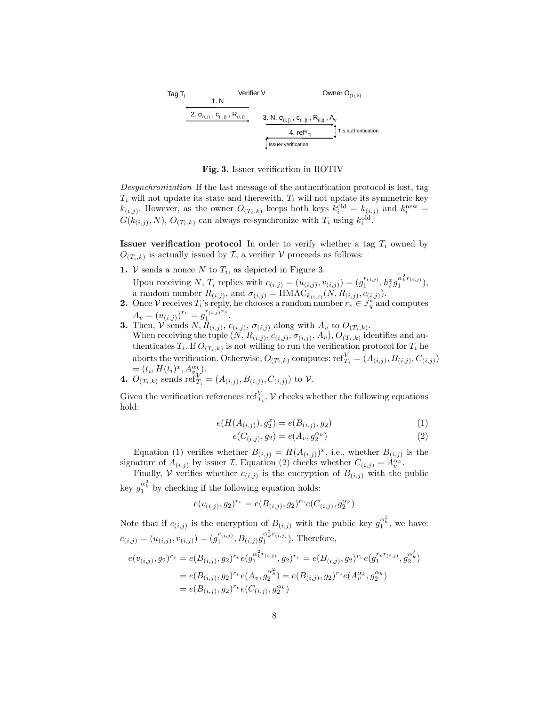$$
\begin{array}{cccc}\n\text{Tag } T_i & & \text{Verifier } V & & \text{Owner } O_{(T_i, k)} \\
\hline\n& 1. N & & \\
\hline\n& 2. \sigma_{(i, j)}, c_{(i, j)}, R_{(i, j)} & & \\
& 3. N, \sigma_{(i, j)}, c_{(i, j)}, R_{(i, j)}, A_v & \\
& 4. \text{ ref}^V_{T_i} & & \\
\hline\n& 4. \text{ref}^V_{T_i}\n\end{array}
$$

Fig. 3. Issuer verification in ROTIV

Desynchronization If the last message of the authentication protocol is lost, tag  $T_i$  will not update its state and therewith,  $T_i$  will not update its symmetric key  $k_{(i,j)}$ . However, as the owner  $O_{(T_i,k)}$  keeps both keys  $k_i^{\text{old}} = k_{(i,j)}$  and  $k_i^{\text{new}} =$  $G(k_{(i,j)}, N)$ ,  $O_{(T_i,k)}$  can always re-synchronize with  $T_i$  using  $k_i^{\text{old}}$ .

**Issuer verification protocol** In order to verify whether a tag  $T_i$  owned by  $O_{(T_i,k)}$  is actually issued by  $\mathcal{I}$ , a verifier  $\mathcal V$  proceeds as follows:

**1.**  $V$  sends a nonce N to  $T_i$ , as depicted in Figure 3.

Upon receiving N,  $T_i$  replies with  $c_{(i,j)} = (u_{(i,j)}, v_{(i,j)}) = (g_1^{r_{(i,j)}}, h_i^x g_1^{\alpha_k^2 r_{(i,j)}})$ , a random number  $R_{(i,j)}$ , and  $\sigma_{(i,j)} = \text{HMAC}_{k_{(i,j)}}(N, R_{(i,j)}, c_{(i,j)}).$ 

- 2. Once V receives  $T_i$ 's reply, he chooses a random number  $r_v \in \mathbb{F}_q^*$  and computes  $A_v = (u_{(i,j)})^{r_v} = g_1^{r_{(i,j)}r_v}$ .
- **3.** Then,  $V$  sends  $N, R_{(i,j)}, c_{(i,j)}, \sigma_{(i,j)}$  along with  $A_v$  to  $O_{(T_i,k)}$ . When receiving the tuple  $(N, R_{(i,j)}, c_{(i,j)}, \sigma_{(i,j)}, A_v)$ ,  $O_{(T_i,k)}$  identifies and authenticates  $T_i$ . If  $O_{(T_i,k)}$  is not willing to run the verification protocol for  $T_i$  he aborts the verification. Otherwise,  $O_{(T_i,k)}$  computes:  $\text{ref}_{T_i}^V = (A_{(i,j)}, B_{(i,j)}, C_{(i,j)})$  $=(t_i, H(t_i)^x, A_{v_i}^{\alpha_k}).$

**4.** 
$$
O_{(T_i,k)}
$$
 sends ref $Y'_{T_i} = (A_{(i,j)}, B_{(i,j)}, C_{(i,j)})$  to V.

Given the verification references  $\text{ref}_{T_i}^V$ ,  $\mathcal V$  checks whether the following equations hold:

$$
e(H(A_{(i,j)}), g_2^x) = e(B_{(i,j)}, g_2)
$$
\n(1)

$$
e(C_{(i,j)}, g_2) = e(A_v, g_2^{\alpha_k})
$$
\n(2)

Equation (1) verifies whether  $B_{(i,j)} = H(A_{(i,j)})^x$ , i.e., whether  $B_{(i,j)}$  is the signature of  $A_{(i,j)}$  by issuer *I*. Equation (2) checks whether  $C_{(i,j)} = \hat{A}_{v}^{\alpha_{k}}$ .

Finally, V verifies whether  $c_{(i,j)}$  is the encryption of  $B_{(i,j)}$  with the public key  $g_1^{\alpha_k^2}$  by checking if the following equation holds:

$$
e(v_{(i,j)},g_2)^{r_v}=e(B_{(i,j)},g_2)^{r_v}e(C_{(i,j)},g_2^{\alpha_k})
$$

Note that if  $c_{(i,j)}$  is the encryption of  $B_{(i,j)}$  with the public key  $g_1^{\alpha_k^2}$ , we have:  $c_{(i,j)} = (u_{(i,j)}, v_{(i,j)}) = (g_1^{r_{(i,j)}}, B_{(i,j)}g_1^{\alpha_k^2 r_{(i,j)}})$ . Therefore,  $e(v_{(i,j)}, g_2)^{r_v} = e(B_{(i,j)}, g_2)^{r_v} e(g_1^{\alpha_k^2 r_{(i,j)}}, g_2)^{r_v} = e(B_{(i,j)}, g_2)^{r_v} e(g_1^{r_v r_{(i,j)}}, g_2^{\alpha_k^2})$  $= e(B_{(i,j)}, g_2)^{r_v} e(A_v, g_2^{\alpha_k^2}) = e(B_{(i,j)}, g_2)^{r_v} e(A_v^{\alpha_k}, g_2^{\alpha_k})$  $= e(B_{(i,j)}, g_2)^{r_v} e(C_{(i,j)}, g_2^{\alpha_k})$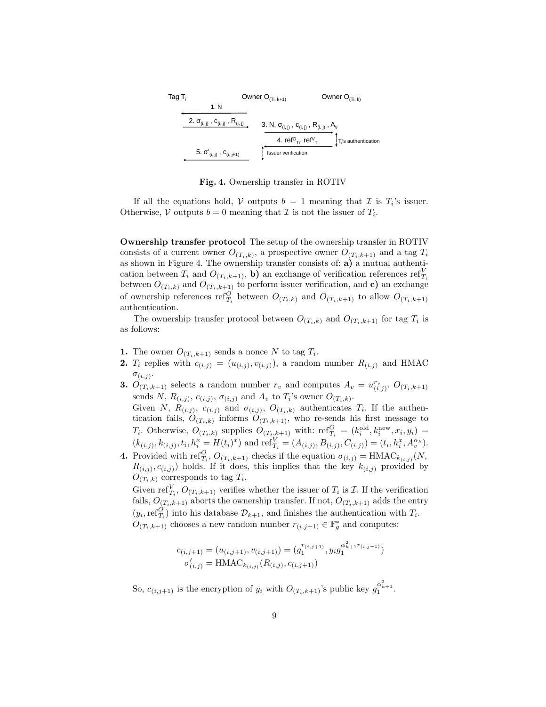Tag T<sub>i</sub> 1. N  
\n
$$
\underbrace{1. N}_{2. \sigma_{(i,j)}, c_{(i,j)}, R_{(i,j)}} \qquad \underbrace{3. N, \sigma_{(i,j)}, c_{(i,j)}, R_{(i,j)}, A}_{4. ref^{\circ}\mathcal{T}_{i}}, \mathcal{F}_{(i,j)}, \mathcal{F}_{(i,j)}, \mathcal{F}_{(i,j)}, \mathcal{F}_{(i,j)}, \mathcal{F}_{(i,j)}, \mathcal{F}_{(i,j)}, \mathcal{F}_{(i,j)}, \mathcal{F}_{(i,j)}, \mathcal{F}_{(i,j)}, \mathcal{F}_{(i,j)}, \mathcal{F}_{(i,j)}, \mathcal{F}_{(i,j)}, \mathcal{F}_{(i,j)}, \mathcal{F}_{(i,j)}, \mathcal{F}_{(i,j)}, \mathcal{F}_{(i,j)}, \mathcal{F}_{(i,j)}, \mathcal{F}_{(i,j)}, \mathcal{F}_{(i,j)}, \mathcal{F}_{(i,j)}, \mathcal{F}_{(i,j)}, \mathcal{F}_{(i,j)}, \mathcal{F}_{(i,j)}, \mathcal{F}_{(i,j)}, \mathcal{F}_{(i,j)}, \mathcal{F}_{(i,j)}, \mathcal{F}_{(i,j)}, \mathcal{F}_{(i,j)}, \mathcal{F}_{(i,j)}, \mathcal{F}_{(i,j)}, \mathcal{F}_{(i,j)}, \mathcal{F}_{(i,j)}, \mathcal{F}_{(i,j)}, \mathcal{F}_{(i,j)}, \mathcal{F}_{(i,j)}, \mathcal{F}_{(i,j)}, \mathcal{F}_{(i,j)}, \mathcal{F}_{(i,j)}, \mathcal{F}_{(i,j)}, \mathcal{F}_{(i,j)}, \mathcal{F}_{(i,j)}, \mathcal{F}_{(i,j)}, \mathcal{F}_{(i,j)}, \mathcal{F}_{(i,j)}, \mathcal{F}_{(i,j)}, \mathcal{F}_{(i,j)}, \mathcal{F}_{(i,j)}, \mathcal{F}_{(i,j)}, \mathcal{F}_{(i,j)}, \mathcal{F}_{(i,j)}, \mathcal{F}_{(i,j)}, \mathcal{F}_{(i,j)}, \mathcal{F}_{(i,j)}, \mathcal{F}_{(i,j)}, \mathcal{F}_{(i,j)}, \mathcal{F}_{(i,j)}, \mathcal{F}_{(i,j)}, \mathcal{F}_{(i,j)}, \mathcal{F}_{(i,j)}, \mathcal{F}_{(i,j)}, \mathcal{F}_{(i,j)}, \mathcal{F}_{(i,j)}, \mathcal{F}_{(i,j)}, \mathcal{F}_{(i,j)}, \mathcal{F}_{(i,j)}, \mathcal{F}_{(i,j)}, \mathcal{F}_{(i,j)}, \
$$

Fig. 4. Ownership transfer in ROTIV

If all the equations hold, V outputs  $b = 1$  meaning that  $\mathcal I$  is  $T_i$ 's issuer. Otherwise, V outputs  $b = 0$  meaning that T is not the issuer of  $T_i$ .

Ownership transfer protocol The setup of the ownership transfer in ROTIV consists of a current owner  $O_{(T_i,k)}$ , a prospective owner  $O_{(T_i,k+1)}$  and a tag  $T_i$ as shown in Figure 4. The ownership transfer consists of: a) a mutual authentication between  $T_i$  and  $O_{(T_i,k+1)}$ , **b**) an exchange of verification references  $\text{ref}_{T_i}^V$ between  $O_{(T_i,k)}$  and  $O_{(T_i,k+1)}$  to perform issuer verification, and c) an exchange of ownership references  $\text{ref}_{T_i}^O$  between  $O_{(T_i,k)}$  and  $O_{(T_i,k+1)}$  to allow  $O_{(T_i,k+1)}$ authentication.

The ownership transfer protocol between  $O_{(T_i,k)}$  and  $O_{(T_i,k+1)}$  for tag  $T_i$  is as follows:

- **1.** The owner  $O_{(T_i,k+1)}$  sends a nonce N to tag  $T_i$ .
- 2.  $T_i$  replies with  $c_{(i,j)} = (u_{(i,j)}, v_{(i,j)})$ , a random number  $R_{(i,j)}$  and HMAC  $\sigma_{(i,j)}$ .
- **3.**  $\hat{O}_{(T_i,k+1)}$  selects a random number  $r_v$  and computes  $A_v = u_{(i,j)}^{r_v}$ .  $O_{(T_i,k+1)}$ sends N,  $R_{(i,j)}$ ,  $c_{(i,j)}$ ,  $\sigma_{(i,j)}$  and  $A_v$  to  $T_i$ 's owner  $O_{(T_i,k)}$ . Given N,  $R_{(i,j)}$ ,  $c_{(i,j)}$  and  $\sigma_{(i,j)}$ ,  $O_{(T_i,k)}$  authenticates  $T_i$ . If the authentication fails,  $O_{(T_i,k)}$  informs  $O_{(T_i,k+1)}$ , who re-sends his first message to  $T_i$ . Otherwise,  $O_{(T_i,k)}$  supplies  $O_{(T_i,k+1)}$  with:  $\text{ref}_{T_i}^O = (k_i^{\text{old}}, k_i^{\text{new}}, x_i, y_i)$  $(k_{(i,j)}, k_{(i,j)}, t_i, h_i^x = H(t_i)^x)$  and  $\text{ref}_{T_i}^V = (A_{(i,j)}, B_{(i,j)}, C_{(i,j)}) = (t_i, h_i^x, A_v^{\alpha_k})$ .
- **4.** Provided with  $\text{ref}_{T_i}^O$ ,  $O_{(T_i,k+1)}$  checks if the equation  $\sigma_{(i,j)} = \text{HMAC}_{k_{(i,j)}}(N,$  $R_{(i,j)}, c_{(i,j)}$  holds. If it does, this implies that the key  $k_{(i,j)}$  provided by  $O_{(T_i,k)}$  corresponds to tag  $T_i$ . Given ref<sub> $T_i$ </sub>,  $O_{(T_i,k+1)}$  verifies whether the issuer of  $T_i$  is  $\mathcal I$ . If the verification fails,  $O_{(T_i,k+1)}$  aborts the ownership transfer. If not,  $O_{(T_i,k+1)}$  adds the entry

 $(y_i, \text{ref}_{T_i}^O)$  into his database  $\mathcal{D}_{k+1}$ , and finishes the authentication with  $T_i$ .  $O_{(T_i,k+1)}$  chooses a new random number  $r_{(i,j+1)} \in \mathbb{F}_q^*$  and computes:

$$
c_{(i,j+1)} = (u_{(i,j+1)}, v_{(i,j+1)}) = (g_1^{r_{(i,j+1)}}, y_i g_1^{\alpha_{k+1}^2 r_{(i,j+1)}})
$$
  

$$
\sigma'_{(i,j)} = \text{HMAC}_{k_{(i,j)}}(R_{(i,j)}, c_{(i,j+1)})
$$

So,  $c_{(i,j+1)}$  is the encryption of  $y_i$  with  $O_{(T_i,k+1)}$ 's public key  $g_1^{\alpha_{k+1}^2}$ .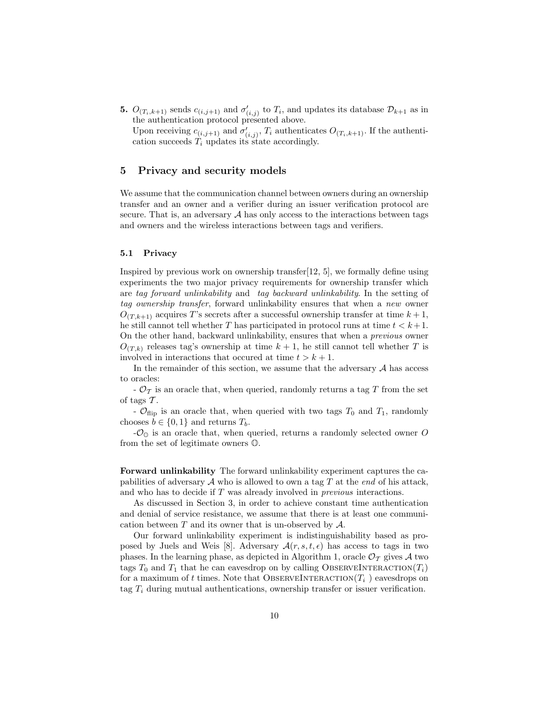**5.**  $O_{(T_i,k+1)}$  sends  $c_{(i,j+1)}$  and  $\sigma'_{(i,j)}$  to  $T_i$ , and updates its database  $\mathcal{D}_{k+1}$  as in the authentication protocol presented above.

Upon receiving  $c_{(i,j+1)}$  and  $\sigma'_{(i,j)}$ ,  $T_i$  authenticates  $O_{(T_i,k+1)}$ . If the authentication succeeds  $T_i$  updates its state accordingly.

# 5 Privacy and security models

We assume that the communication channel between owners during an ownership transfer and an owner and a verifier during an issuer verification protocol are secure. That is, an adversary  $A$  has only access to the interactions between tags and owners and the wireless interactions between tags and verifiers.

#### 5.1 Privacy

Inspired by previous work on ownership transfer  $[12, 5]$ , we formally define using experiments the two major privacy requirements for ownership transfer which are tag forward unlinkability and tag backward unlinkability. In the setting of tag ownership transfer, forward unlinkability ensures that when a new owner  $O_{(T, k+1)}$  acquires T's secrets after a successful ownership transfer at time  $k+1$ , he still cannot tell whether T has participated in protocol runs at time  $t < k+1$ . On the other hand, backward unlinkability, ensures that when a previous owner  $O_{(T,k)}$  releases tag's ownership at time  $k+1$ , he still cannot tell whether T is involved in interactions that occured at time  $t > k + 1$ .

In the remainder of this section, we assume that the adversary  $A$  has access to oracles:

 $-\mathcal{O}_{\mathcal{T}}$  is an oracle that, when queried, randomly returns a tag T from the set of tags  $\mathcal{T}$ .

-  $\mathcal{O}_{\text{flip}}$  is an oracle that, when queried with two tags  $T_0$  and  $T_1$ , randomly chooses  $b \in \{0, 1\}$  and returns  $T_b$ .

 $-\mathcal{O}_0$  is an oracle that, when queried, returns a randomly selected owner O from the set of legitimate owners O.

Forward unlinkability The forward unlinkability experiment captures the capabilities of adversary  $A$  who is allowed to own a tag  $T$  at the end of his attack, and who has to decide if T was already involved in previous interactions.

As discussed in Section 3, in order to achieve constant time authentication and denial of service resistance, we assume that there is at least one communication between  $T$  and its owner that is un-observed by  $\mathcal{A}$ .

Our forward unlinkability experiment is indistinguishability based as proposed by Juels and Weis [8]. Adversary  $\mathcal{A}(r, s, t, \epsilon)$  has access to tags in two phases. In the learning phase, as depicted in Algorithm 1, oracle  $\mathcal{O}_\mathcal{T}$  gives A two tags  $T_0$  and  $T_1$  that he can eavesdrop on by calling OBSERVEINTERACTION( $T_i$ ) for a maximum of t times. Note that OBSERVEINTERACTION( $T_i$ ) eavesdrops on tag  $T_i$  during mutual authentications, ownership transfer or issuer verification.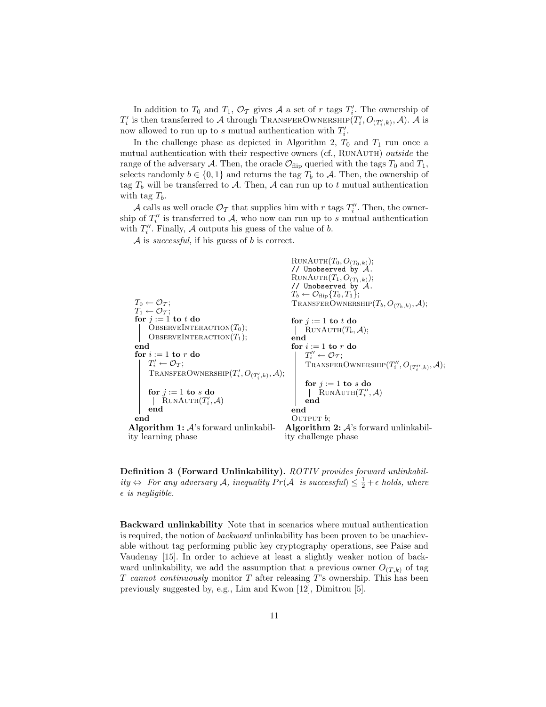In addition to  $T_0$  and  $T_1$ ,  $\mathcal{O}_T$  gives  $\mathcal A$  a set of r tags  $T_i'$ . The ownership of  $T_i'$  is then transferred to A through TRANSFEROWNERSHIP( $T_i', O_{(T_i', k)}, A$ ). A is now allowed to run up to s mutual authentication with  $T_i'$ .

In the challenge phase as depicted in Algorithm 2,  $T_0$  and  $T_1$  run once a mutual authentication with their respective owners (cf., RUNAUTH) outside the range of the adversary A. Then, the oracle  $\mathcal{O}_{\text{flip}}$  queried with the tags  $T_0$  and  $T_1$ , selects randomly  $b \in \{0,1\}$  and returns the tag  $T_b$  to A. Then, the ownership of tag  $T_b$  will be transferred to A. Then, A can run up to t mutual authentication with tag  $T_b$ .

A calls as well oracle  $\mathcal{O}_{\mathcal{T}}$  that supplies him with r tags  $T''_i$ . Then, the ownership of  $T_i''$  is transferred to A, who now can run up to s mutual authentication with  $T''_i$ . Finally, A outputs his guess of the value of b.

 $A$  is *successful*, if his guess of  $b$  is correct.

```
T_0 \leftarrow \mathcal{O}_\mathcal{T};T_1 \leftarrow \mathcal{O}_\mathcal{T};for j := 1 to t do
      OBSERVEINTERACTION(T_0);
       OBSERVEINTERACTION(T_1);
  end
  for i := 1 to r do
       T'_i \leftarrow \mathcal{O}_\mathcal{T};TRANSFEROWNERSHIP(T_i', O_{(T_i', k)}, A);for j := 1 to s do
            \text{RunAuff}(T'_i, \mathcal{A})end
  end
Algorithm 1: A's forward unlinkabil-
ity learning phase
                                                          \text{RunAUTH}(T_0, O_{(T_0,k)});
                                                          // Unobserved by A.
                                                          RUNAUTH(T_1, O_{(T_1,k)});
                                                          // Unobserved by A.
                                                          T_b \leftarrow \mathcal{O}_{\text{flip}}\{T_0, T_1\};TRANSFEROWNERSHIP(T_b, O_{(T_b,k)}, \mathcal{A});
                                                          for j := 1 to t do
                                                          RUNAUTH(T_b, A);end
                                                          for i := 1 to r do
                                                               T''_i \leftarrow \mathcal{O}_\mathcal{T};TRANSFEROWNERSHIP(T''_i, O_{(T''_i,k)}, A);for j := 1 to s do
                                                                    \text{RunAuff}(T''_i, \mathcal{A})end
                                                          end
                                                          OUTPUT b;
                                                       Algorithm 2: A's forward unlinkabil-
                                                       ity challenge phase
```
Definition 3 (Forward Unlinkability). ROTIV provides forward unlinkability  $\Leftrightarrow$  For any adversary A, inequality  $Pr(A \text{ is successful}) \leq \frac{1}{2} + \epsilon$  holds, where  $\epsilon$  is negligible.

Backward unlinkability Note that in scenarios where mutual authentication is required, the notion of backward unlinkability has been proven to be unachievable without tag performing public key cryptography operations, see Paise and Vaudenay [15]. In order to achieve at least a slightly weaker notion of backward unlinkability, we add the assumption that a previous owner  $O(T,k)$  of tag  $T$  cannot continuously monitor  $T$  after releasing  $T$ 's ownership. This has been previously suggested by, e.g., Lim and Kwon [12], Dimitrou [5].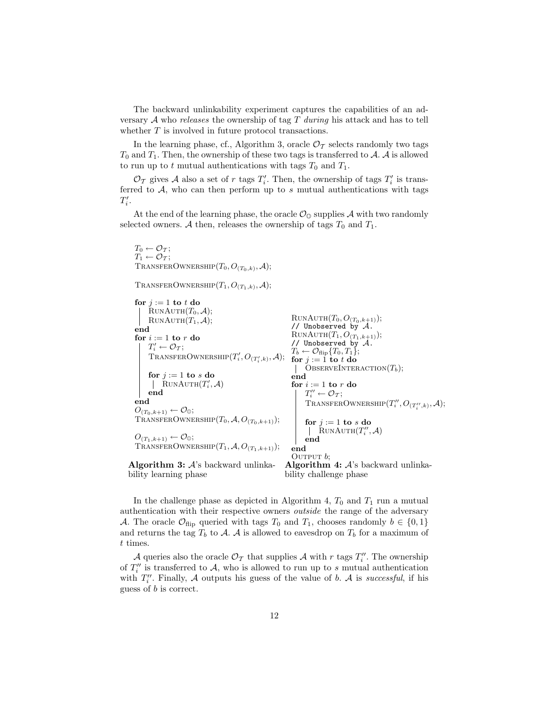The backward unlinkability experiment captures the capabilities of an adversary  $A$  who *releases* the ownership of tag  $T$  during his attack and has to tell whether  $T$  is involved in future protocol transactions.

In the learning phase, cf., Algorithm 3, oracle  $\mathcal{O}_{\mathcal{T}}$  selects randomly two tags  $T_0$  and  $T_1$ . Then, the ownership of these two tags is transferred to A. A is allowed to run up to t mutual authentications with tags  $T_0$  and  $T_1$ .

 $\mathcal{O}_{\mathcal{T}}$  gives A also a set of r tags  $T_i'$ . Then, the ownership of tags  $T_i'$  is transferred to  $A$ , who can then perform up to s mutual authentications with tags  $T_i'.$ 

At the end of the learning phase, the oracle  $\mathcal{O}_{\mathbb{Q}}$  supplies A with two randomly selected owners. A then, releases the ownership of tags  $T_0$  and  $T_1$ .

```
T_0 \leftarrow \mathcal{O}_{\mathcal{T}};T_1 \leftarrow \mathcal{O}_\mathcal{T};TRANSFEROWNERSHIP(T_0, O_{(T_0,k)}, \mathcal{A});
TRANSFEROWNERSHIP(T_1, O_{(T_1,k)}, \mathcal{A});
for j := 1 to t do
     RUNAUTH(T_0, \mathcal{A});RUNAUTH(T_1,\mathcal{A});end
for i := 1 to r do
      T'_i \leftarrow \mathcal{O}_\mathcal{T};TRANSFEROWNERSHIP(T_i', O_{(T_i', k)}, A); \begin{array}{c} I_b \leftarrow \text{Unip}\{I_0, I_1\} \\ \text{for } j := 1 \text{ to } t \text{ do} \end{array}for j := 1 to s do
            \text{RunAuff}(T'_i, \mathcal{A})end
end
O_{(T_0,k+1)} \leftarrow O_{\mathbb{O}};TRANSFEROWNERSHIP(T_0, \mathcal{A}, O_{(T_0,k+1)});O_{(T_1,k+1)} \leftarrow O_0;TRANSFEROWNERSHIP(T_1, \mathcal{A}, O_{(T_1,k+1)});RUNAUTH(T_0, O_{(T_0, k+1)});
                                                                     // Unobserved by \mathcal{A}.
                                                                     RUNAUTH(T_1, O_{(T_1, k+1)});
                                                                     // Unobserved by A.
                                                                     T_b \leftarrow \mathcal{O}_{\text{flip}}\{T_0, T_1\};\qquad \qquad \text{OBSERVEINTERACTION}(T_b);end
                                                                     for i := 1 to r do
                                                                           T''_i \leftarrow \mathcal{O}_\mathcal{T};TRANSFEROWNERSHIP(T''_i, O_{(T''_i,k)}, A);for j := 1 to s do
                                                                                  \text{RunAuff}(T''_i, \mathcal{A})end
                                                                     end
                                                                     OUTPUT b;
```
Algorithm  $3: A$ 's backward unlinkability learning phase

Algorithm 4: A's backward unlinkability challenge phase

In the challenge phase as depicted in Algorithm 4,  $T_0$  and  $T_1$  run a mutual authentication with their respective owners outside the range of the adversary A. The oracle  $\mathcal{O}_{\text{flip}}$  queried with tags  $T_0$  and  $T_1$ , chooses randomly  $b \in \{0, 1\}$ and returns the tag  $T_b$  to A. A is allowed to eavesdrop on  $T_b$  for a maximum of t times.

 $\mathcal A$  queries also the oracle  $\mathcal O_{\mathcal T}$  that supplies  $\mathcal A$  with  $r$  tags  $T''_i$ . The ownership of  $T''_i$  is transferred to A, who is allowed to run up to s mutual authentication with  $T''_i$ . Finally, A outputs his guess of the value of b. A is successful, if his guess of b is correct.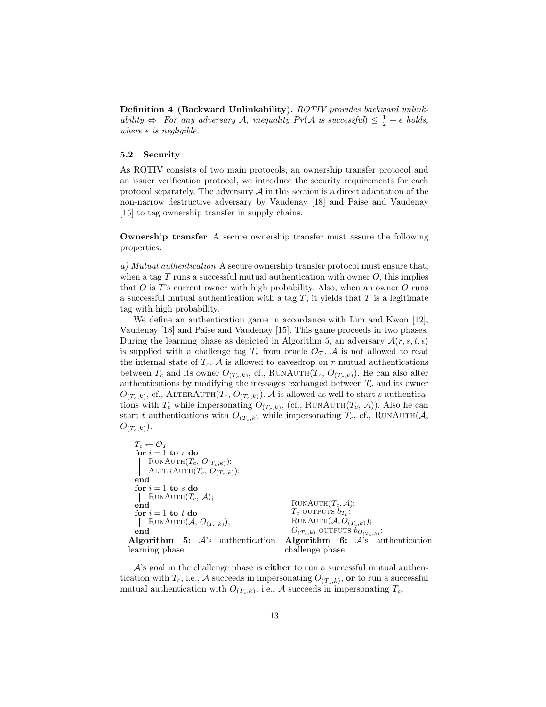Definition 4 (Backward Unlinkability). ROTIV provides backward unlinkability  $\Leftrightarrow$  For any adversary A, inequality  $Pr(A \text{ is successful}) \leq \frac{1}{2} + \epsilon$  holds, where  $\epsilon$  is negligible.

#### 5.2 Security

As ROTIV consists of two main protocols, an ownership transfer protocol and an issuer verification protocol, we introduce the security requirements for each protocol separately. The adversary  $A$  in this section is a direct adaptation of the non-narrow destructive adversary by Vaudenay [18] and Paise and Vaudenay [15] to tag ownership transfer in supply chains.

Ownership transfer A secure ownership transfer must assure the following properties:

a) Mutual authentication A secure ownership transfer protocol must ensure that, when a tag  $T$  runs a successful mutual authentication with owner  $O$ , this implies that  $O$  is T's current owner with high probability. Also, when an owner  $O$  runs a successful mutual authentication with a tag  $T$ , it yields that  $T$  is a legitimate tag with high probability.

We define an authentication game in accordance with Lim and Kwon [12], Vaudenay [18] and Paise and Vaudenay [15]. This game proceeds in two phases. During the learning phase as depicted in Algorithm 5, an adversary  $\mathcal{A}(r, s, t, \epsilon)$ is supplied with a challenge tag  $T_c$  from oracle  $\mathcal{O}_T$ . A is not allowed to read the internal state of  $T_c$ . A is allowed to eavesdrop on r mutual authentications between  $T_c$  and its owner  $O_{(T_c,k)}$ , cf., RUNAUTH $(T_c, O_{(T_c,k)})$ . He can also alter authentications by modifying the messages exchanged between  $T_c$  and its owner  $O_{(T_c,k)}$ , cf., ALTERAUTH $(T_c, O_{(T_c,k)})$ . A is allowed as well to start s authentications with  $T_c$  while impersonating  $O_{(T_c,k)}$ , (cf., RUNAUTH $(T_c, \mathcal{A})$ ). Also he can start t authentications with  $O_{(T_c,k)}$  while impersonating  $T_c$ , cf., RUNAUTH( $A$ ,  $O_{(T_c,k)}$ ).

 $T_c \leftarrow \mathcal{O}_\mathcal{T};$ for  $i = 1$  to  $r$  do RUNAUTH $(T_c, O_{(T_c,k)})$ ; ALTERAUTH $(T_c, O_{(T_c,k)})$ ; end for  $i = 1$  to s do | RUNAUTH $(T_c, \mathcal{A});$ end for  $i = 1$  to t do | RUNAUTH $(\mathcal{A}, O_{(T_c,k)})$ ; end Algorithm 5:  $A$ 's authentication learning phase RUNAUTH $(T_c, \mathcal{A});$  $T_c$  outputs  $b_{T_c}$ ; RUNAUTH $(\mathcal{A}, O_{(T_c,k)})$ ;  $O_{(T_c,k)}$  outputs  $b_{O_{(T_c,k)}}$ ; Algorithm 6:  $A$ 's authentication challenge phase

 $A$ 's goal in the challenge phase is **either** to run a successful mutual authentication with  $T_c$ , i.e., A succeeds in impersonating  $O_{(T_c,k)}$ , or to run a successful mutual authentication with  $O_{(T_c,k)}$ , i.e., A succeeds in impersonating  $T_c$ .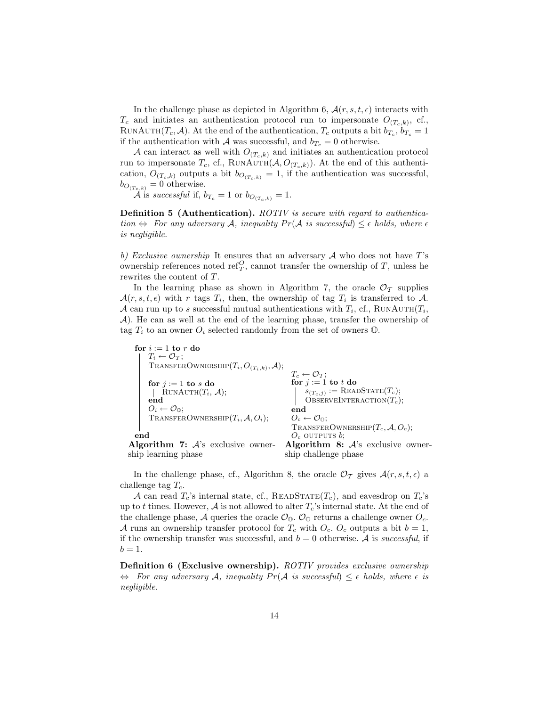In the challenge phase as depicted in Algorithm 6,  $\mathcal{A}(r, s, t, \epsilon)$  interacts with  $T_c$  and initiates an authentication protocol run to impersonate  $O_{(T_c,k)}$ , cf., RUNAUTH $(T_c, \mathcal{A})$ . At the end of the authentication,  $T_c$  outputs a bit  $b_{T_c}, b_{T_c} = 1$ if the authentication with A was successful, and  $b_{T_c} = 0$  otherwise.

A can interact as well with  $O_{(T_c,k)}$  and initiates an authentication protocol run to impersonate  $T_c$ , cf., RUNAUTH $(A, O_{(T_c,k)})$ . At the end of this authentication,  $O_{(T_c,k)}$  outputs a bit  $b_{O_{(T_c,k)}} = 1$ , if the authentication was successful,  $b_{{\cal O}_{(T_c,k)}}=0$  otherwise.

 $\mathcal{A}$  is successful if,  $b_{T_c} = 1$  or  $b_{O_{(T_c,k)}} = 1$ .

Definition 5 (Authentication). ROTIV is secure with regard to authentication  $\Leftrightarrow$  For any adversary A, inequality  $Pr(A \text{ is successful}) \leq \epsilon \text{ holds},$  where  $\epsilon$ is negligible.

b) Exclusive ownership It ensures that an adversary  $A$  who does not have  $T$ 's ownership references noted  $\text{ref}_T^O$ , cannot transfer the ownership of T, unless he rewrites the content of T.

In the learning phase as shown in Algorithm 7, the oracle  $\mathcal{O}_\mathcal{T}$  supplies  $\mathcal{A}(r, s, t, \epsilon)$  with r tags  $T_i$ , then, the ownership of tag  $T_i$  is transferred to A.  $\mathcal A$  can run up to s successful mutual authentications with  $T_i$ , cf., RUNAUTH $(T_i,$  $\mathcal{A}$ ). He can as well at the end of the learning phase, transfer the ownership of tag  $T_i$  to an owner  $O_i$  selected randomly from the set of owners  $\mathbb{O}$ .

```
\nfor i := 1 to r do\n    
$$
T_i \leftarrow \mathcal{O}_T;
$$
\n    TRANSFEROWNERSHIP $(T_i, O_{(T_i,k)}, \mathcal{A});$ \n     $T_c \leftarrow \mathcal{O}_T;$ \n    for j := 1 to s do\n        for j := 1 to t do\n            for j := 1 to t do\n            for j := 1 to t do\n            for j := 1 to t do\n            for j := 1 to t do\n                for j := 1 to t do\n                for j := 1 to t do\n                for j := 1 to t do\n                for j := 1 to t do\n                for j := 1 to t do\n                for j := 1 to t do\n                for j := 1 to t do\n                for j := 1 to t do\n                for j := 1 to t do\n                for j := 1 to t do\n                for j := 1 to t do\n                for j := 1 to t do\n                for j := 1 to t do\n                for j := 1 to t do\n                for j := 1 to t do\n                for j := 1 to t do\n                for j := 1 to t do\n                for j := 1 to t do\n                for j := 1 to t do\n                for j := 1 to t do\n                for j := 1 to t do\n                for j := 1 to t do\n                for j := 1 to t do\n                for j := 1 to t do\n                for j := 1 to t do\n                for j := 1 to t do\n                for j := 1 to t do\n                for j := 1 to t do\n                for j := 1 to t do\n                for j := 1 to t do\n                for j := 1 to t do\n                for j := 1 to t do\n                for j := 1 to t do\n                for j := 1 to t do\n                for j := 1 to t do\n                for j := 1 to t do\n                for j := 1 to t do\n                for j := 1 to t do\n                for j := 1 to t do\n                for j := 1 to t do\n                for j := 1 to t do\n                for j := 1 to t do\n                for j := 1 to t do\n                for j := 1 to t do\n                for j := 1 to t do\n                for j := 1 to t do\n                for j := 1 to t do\n                for j := 1 to t do\n                for j := 1 to t do\n                for j := 1 to t do\n                for j := 1 to t do\n                for j := 1 to t do\n                for j := 1 to t do\n                for j := 1 to t do\n                for j := 1 to t do\n                for j := 1 to t do\n                for j := 1 to t do\n                for j := 1 to t do\n                for j := 1 to t do\n                for j := 1 to t do\n                for j := 1 to t do\n                for j := 1 to t do\n                for j :=
```

In the challenge phase, cf., Algorithm 8, the oracle  $\mathcal{O}_{\mathcal{T}}$  gives  $\mathcal{A}(r, s, t, \epsilon)$  a challenge tag  $T_c$ .

A can read  $T_c$ 's internal state, cf., READSTATE $(T_c)$ , and eavesdrop on  $T_c$ 's up to t times. However, A is not allowed to alter  $T_c$ 's internal state. At the end of the challenge phase, A queries the oracle  $\mathcal{O}_{\mathbb{O}}$ .  $\mathcal{O}_{\mathbb{O}}$  returns a challenge owner  $O_c$ . A runs an ownership transfer protocol for  $T_c$  with  $O_c$ .  $O_c$  outputs a bit  $b = 1$ , if the ownership transfer was successful, and  $b = 0$  otherwise. A is successful, if  $b=1.$ 

Definition 6 (Exclusive ownership). ROTIV provides exclusive ownership  $\Leftrightarrow$  For any adversary A, inequality  $Pr(A \text{ is successful}) \leq \epsilon \text{ holds},$  where  $\epsilon$  is negligible.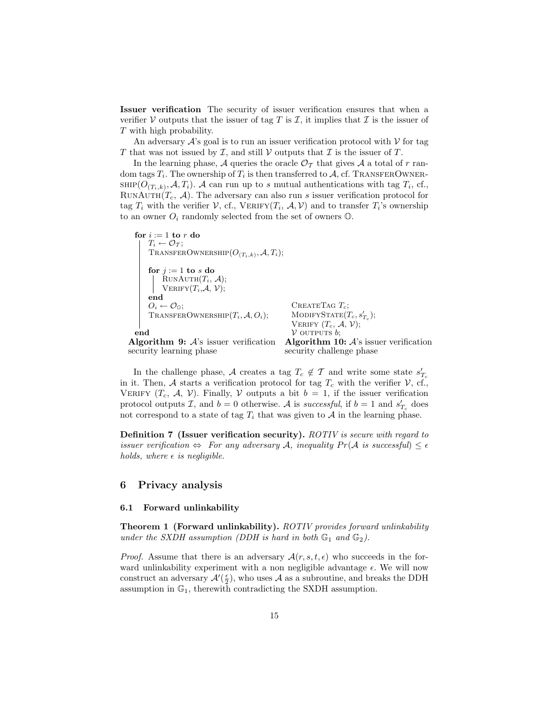Issuer verification The security of issuer verification ensures that when a verifier V outputs that the issuer of tag T is I, it implies that I is the issuer of T with high probability.

An adversary  $\mathcal{A}$ 's goal is to run an issuer verification protocol with  $\mathcal V$  for tag T that was not issued by  $\mathcal I$ , and still  $\mathcal V$  outputs that  $\mathcal I$  is the issuer of  $T$ .

In the learning phase, A queries the oracle  $\mathcal{O}_{\mathcal{T}}$  that gives A a total of r random tags  $T_i$ . The ownership of  $T_i$  is then transferred to  $\mathcal{A}$ , cf. TRANSFEROWNER- $\text{SHP}(\overline{O}_{(T_i,k)}, \mathcal{A}, T_i)$ . A can run up to s mutual authentications with tag  $T_i$ , cf., RUNAUTH $(T_c, \mathcal{A})$ . The adversary can also run s issuer verification protocol for tag  $T_i$  with the verifier  $V$ , cf., VERIFY $(T_i, \mathcal{A}, V)$  and to transfer  $T_i$ 's ownership to an owner  $O_i$  randomly selected from the set of owners  $\mathbb{O}$ .

```
for i := 1 to r do
       T_i \leftarrow \mathcal{O}_\mathcal{T};TRANSFEROWNERSHIP(O_{(T_i,k)}, A, T_i);for j := 1 to s do
            RUNAUTH(T_i, \mathcal{A});VERIFY(T_i, \mathcal{A}, \mathcal{V});end
       O_i \leftarrow O_{\mathbb{O}};TRANSFEROWNERSHIP(T_i, \mathcal{A}, O_i);end
Algorithm 9: A's issuer verification
security learning phase
                                                           CREATETAG T_c;
                                                            MODIFYSTATE(T_c, s'_{T_c});
                                                            VERIFY (T_c, \mathcal{A}, \mathcal{V});\nu outputs b;
```
Algorithm 10:  $A$ 's issuer verification security challenge phase

In the challenge phase,  $\mathcal A$  creates a tag  $T_c \notin \mathcal T$  and write some state  $s'_{T_c}$ in it. Then, A starts a verification protocol for tag  $T_c$  with the verifier  $V$ , cf., VERIFY  $(T_c, \mathcal{A}, \mathcal{V})$ . Finally, V outputs a bit  $b = 1$ , if the issuer verification protocol outputs *I*, and  $b = 0$  otherwise. *A* is *successful*, if  $b = 1$  and  $s'_{T_c}$  does not correspond to a state of tag  $T_i$  that was given to  $A$  in the learning phase.

Definition 7 (Issuer verification security). ROTIV is secure with regard to issuer verification  $\Leftrightarrow$  For any adversary A, inequality  $Pr(A \text{ is successful}) \leq \epsilon$ holds, where  $\epsilon$  is negligible.

# 6 Privacy analysis

#### 6.1 Forward unlinkability

Theorem 1 (Forward unlinkability). ROTIV provides forward unlinkability under the SXDH assumption (DDH is hard in both  $\mathbb{G}_1$  and  $\mathbb{G}_2$ ).

*Proof.* Assume that there is an adversary  $\mathcal{A}(r, s, t, \epsilon)$  who succeeds in the forward unlinkability experiment with a non negligible advantage  $\epsilon$ . We will now construct an adversary  $\mathcal{A}'(\frac{\epsilon}{2})$ , who uses  $\mathcal A$  as a subroutine, and breaks the DDH assumption in  $\mathbb{G}_1$ , therewith contradicting the SXDH assumption.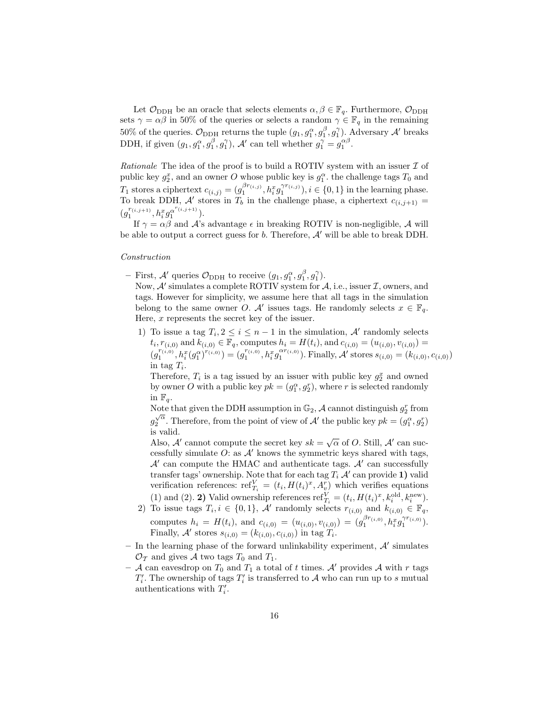Let  $\mathcal{O}_{\text{DDH}}$  be an oracle that selects elements  $\alpha, \beta \in \mathbb{F}_q$ . Furthermore,  $\mathcal{O}_{\text{DDH}}$ sets  $\gamma = \alpha \beta$  in 50% of the queries or selects a random  $\gamma \in \mathbb{F}_q$  in the remaining 50% of the queries.  $\mathcal{O}_{\rm DDH}$  returns the tuple  $(g_1, g_1^{\alpha}, g_1^{\beta}, g_1^{\gamma})$ . Adversary  $\mathcal{A}'$  breaks DDH, if given  $(g_1, g_1^{\alpha}, g_1^{\beta}, g_1^{\gamma})$ ,  $\mathcal{A}'$  can tell whether  $g_1^{\gamma} = g_1^{\alpha\beta}$ .

*Rationale* The idea of the proof is to build a ROTIV system with an issuer  $\mathcal I$  of public key  $g_2^x$ , and an owner O whose public key is  $g_1^{\alpha}$ , the challenge tags  $T_0$  and  $_2$ , and an owner  $\sigma$  whose public key is  $g_1$  $T_1$  stores a ciphertext  $c_{(i,j)} = (g_1^{\beta r_{(i,j)}}, h_i^x g_1^{\gamma r_{(i,j)}}), i \in \{0,1\}$  in the learning phase. To break DDH, A' stores in  $T_b$  in the challenge phase, a ciphertext  $c_{(i,j+1)} =$  $(g_1^{r_{(i,j+1)}}, h_i^x g_1^{\alpha^{r_{(i,j+1)}}}$  $\frac{\alpha^{(i,j+1)}}{1}.$ 

If  $\gamma = \alpha \beta$  and A's advantage  $\epsilon$  in breaking ROTIV is non-negligible, A will be able to output a correct guess for  $b$ . Therefore,  $\mathcal{A}'$  will be able to break DDH.

## Construction

- First, A' queries  $\mathcal{O}_{\text{DDH}}$  to receive  $(g_1, g_1^{\alpha}, g_1^{\beta}, g_1^{\gamma})$ .

Now,  $A'$  simulates a complete ROTIV system for  $A$ , i.e., issuer  $I$ , owners, and tags. However for simplicity, we assume here that all tags in the simulation belong to the same owner O. A' issues tags. He randomly selects  $x \in \mathbb{F}_q$ . Here,  $x$  represents the secret key of the issuer.

1) To issue a tag  $T_i, 2 \leq i \leq n-1$  in the simulation, A' randomly selects  $t_i, r_{(i,0)}$  and  $k_{(i,0)} \in \mathbb{F}_q$ , computes  $h_i = H(t_i)$ , and  $c_{(i,0)} = (u_{(i,0)}, v_{(i,0)}) =$  $(g_1^{r_{(i,0)}}, h_i^x(g_1^{\alpha})^{r_{(i,0)}}) = (g_1^{r_{(i,0)}}, h_i^xg_1^{\alpha r_{(i,0)}})$ . Finally, A' stores  $s_{(i,0)} = (k_{(i,0)}, c_{(i,0)})$ in tag  $T_i$ .

Therefore,  $T_i$  is a tag issued by an issuer with public key  $g_2^x$  and owned by owner O with a public key  $pk = (g_1^{\alpha}, g_2^{\alpha})$ , where r is selected randomly in  $\mathbb{F}_q$ .

Note that given the DDH assumption in  $\mathbb{G}_2$ , A cannot distinguish  $g_2^r$  from  $g_2^{\sqrt{\alpha}}$ . Therefore, from the point of view of  $\mathcal{A}'$  the public key  $pk = (g_1^{\alpha}, g_2^{\alpha})$ is valid.

Also, A' cannot compute the secret key  $sk = \sqrt{\alpha}$  of O. Still, A' can successfully simulate  $O:$  as  $\mathcal{A}'$  knows the symmetric keys shared with tags.  $A'$  can compute the HMAC and authenticate tags.  $A'$  can successfully transfer tags' ownership. Note that for each tag  $T_i \mathcal{A}'$  can provide 1) valid verification references:  $\mathrm{ref}_{T_i}^V = (t_i, H(t_i)^x, A_v^r)$  which verifies equations (1) and (2). **2)** Valid ownership references  $ref_{T_i}^V = (t_i, H(t_i)^x, k_i^{\text{old}}, k_i^{\text{new}})$ .

- 2) To issue tags  $T_i, i \in \{0,1\}, \mathcal{A}'$  randomly selects  $r_{(i,0)}$  and  $k_{(i,0)} \in \mathbb{F}_q$ , computes  $h_i = H(t_i)$ , and  $c_{(i,0)} = (u_{(i,0)}, v_{(i,0)}) = (g_1^{\beta r_{(i,0)}}, h_i^x g_1^{\gamma r_{(i,0)}})$ . Finally, A' stores  $s_{(i,0)} = (k_{(i,0)}, c_{(i,0)})$  in tag  $T_i$ .
- In the learning phase of the forward unlinkability experiment,  $A'$  simulates  $\mathcal{O}_{\mathcal{T}}$  and gives A two tags  $T_0$  and  $T_1$ .
- A can eavesdrop on  $T_0$  and  $T_1$  a total of t times. A' provides A with r tags  $T_i'$ . The ownership of tags  $T_i'$  is transferred to A who can run up to s mutual authentications with  $T_i'$ .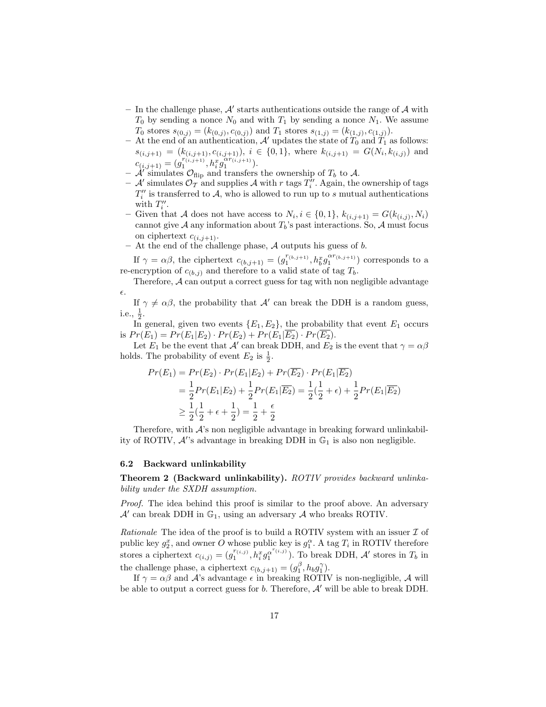- In the challenge phase,  $A'$  starts authentications outside the range of  $A$  with  $T_0$  by sending a nonce  $N_0$  and with  $T_1$  by sending a nonce  $N_1$ . We assume  $T_0$  stores  $s_{(0,j)} = (k_{(0,j)}, c_{(0,j)})$  and  $T_1$  stores  $s_{(1,j)} = (k_{(1,j)}, c_{(1,j)})$ .
- At the end of an authentication, A' updates the state of  $T_0$  and  $T_1$  as follows:  $s_{(i,j+1)} = (k_{(i,j+1)}, c_{(i,j+1)}), i \in \{0,1\},$  where  $k_{(i,j+1)} = G(N_i, k_{(i,j)})$  and  $c_{(i,j+1)} = (g_1^{r_{(i,j+1)}}, h_i^x g_1^{\alpha r_{(i,j+1)}}).$
- $\mathcal{A}'$  simulates  $\mathcal{O}_{\text{flip}}$  and transfers the ownership of  $T_b$  to  $\mathcal{A}$ .
- $-$  A' simulates  $\mathcal{O}_\mathcal{T}$  and supplies A with r tags  $T''_i$ . Again, the ownership of tags  $T''_i$  is transferred to A, who is allowed to run up to s mutual authentications with  $T_i''$ .
- Given that A does not have access to  $N_i, i \in \{0,1\}, k_{(i,j+1)} = G(k_{(i,j)}, N_i)$ cannot give  $A$  any information about  $T_b$ 's past interactions. So,  $A$  must focus on ciphertext  $c_{(i,j+1)}$ .
- At the end of the challenge phase,  $A$  outputs his guess of  $b$ .

If  $\gamma = \alpha \beta$ , the ciphertext  $c_{(b,j+1)} = (g_1^{r_{(b,j+1)}}, h_b^x g_1^{\alpha r_{(b,j+1)}})$  corresponds to a re-encryption of  $c_{(b,j)}$  and therefore to a valid state of tag  $T_b$ .

Therefore, A can output a correct guess for tag with non negligible advantage  $\epsilon.$ 

If  $\gamma \neq \alpha \beta$ , the probability that A' can break the DDH is a random guess, i.e.,  $\frac{1}{2}$ .

In general, given two events  ${E_1, E_2}$ , the probability that event  $E_1$  occurs is  $Pr(E_1) = Pr(E_1|E_2) \cdot Pr(E_2) + Pr(E_1|\overline{E_2}) \cdot Pr(\overline{E_2}).$ 

Let  $E_1$  be the event that  $\mathcal{A}'$  can break DDH, and  $E_2$  is the event that  $\gamma = \alpha \beta$ holds. The probability of event  $E_2$  is  $\frac{1}{2}$ .

$$
Pr(E_1) = Pr(E_2) \cdot Pr(E_1|E_2) + Pr(\overline{E_2}) \cdot Pr(E_1|\overline{E_2})
$$
  
=  $\frac{1}{2} Pr(E_1|E_2) + \frac{1}{2} Pr(E_1|\overline{E_2}) = \frac{1}{2} (\frac{1}{2} + \epsilon) + \frac{1}{2} Pr(E_1|\overline{E_2})$   
 $\ge \frac{1}{2} (\frac{1}{2} + \epsilon + \frac{1}{2}) = \frac{1}{2} + \frac{\epsilon}{2}$ 

Therefore, with  $\mathcal{A}$ 's non negligible advantage in breaking forward unlinkability of ROTIV,  $\mathcal{A}$ 's advantage in breaking DDH in  $\mathbb{G}_1$  is also non negligible.

#### 6.2 Backward unlinkability

Theorem 2 (Backward unlinkability). ROTIV provides backward unlinkability under the SXDH assumption.

Proof. The idea behind this proof is similar to the proof above. An adversary  $\mathcal{A}'$  can break DDH in  $\mathbb{G}_1$ , using an adversary  $\mathcal A$  who breaks ROTIV.

Rationale The idea of the proof is to build a ROTIV system with an issuer  $\mathcal I$  of public key  $g_2^x$ , and owner O whose public key is  $g_1^{\alpha}$ . A tag  $T_i$  in ROTIV therefore stores a ciphertext  $c_{(i,j)} = (g_1^{r_{(i,j)}}, h_i^x g_1^{\alpha^{r_{(i,j)}}})$  $\alpha^{r(i,j)}$ ). To break DDH,  $\mathcal{A}'$  stores in  $T_b$  in the challenge phase, a ciphertext  $c_{(b,j+1)} = (g_1^{\beta}, h_b g_1^{\gamma}).$ 

If  $\gamma = \alpha \beta$  and A's advantage  $\epsilon$  in breaking ROTIV is non-negligible, A will be able to output a correct guess for  $b$ . Therefore,  $A'$  will be able to break DDH.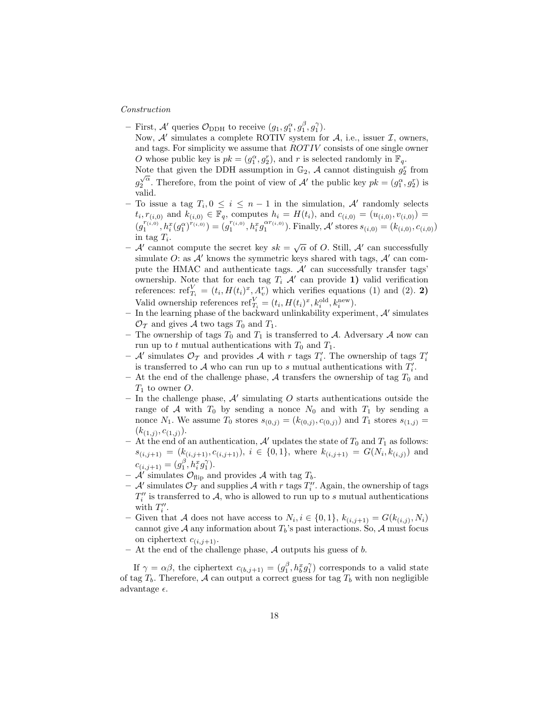#### Construction

- First, A' queries  $\mathcal{O}_{\text{DDH}}$  to receive  $(g_1, g_1^{\alpha}, g_1^{\beta}, g_1^{\gamma})$ .

Now,  $A'$  simulates a complete ROTIV system for  $A$ , i.e., issuer  $I$ , owners, and tags. For simplicity we assume that ROTIV consists of one single owner O whose public key is  $pk = (g_1^{\alpha}, g_2^{\gamma})$ , and r is selected randomly in  $\mathbb{F}_q$ . Note that given the DDH assumption in  $\mathbb{G}_2$ , A cannot distinguish  $g_2^r$  from  $g_2^{\sqrt{\alpha}}$ . Therefore, from the point of view of A' the public key  $pk = (g_1^{\alpha}, g_2^{\gamma})$  is valid.

- To issue a tag  $T_i, 0 \leq i \leq n-1$  in the simulation, A' randomly selects  $t_i, r_{(i,0)}$  and  $k_{(i,0)} \in \mathbb{F}_q$ , computes  $h_i = H(t_i)$ , and  $c_{(i,0)} = (u_{(i,0)}, v_{(i,0)}) =$  $(g_1^{r_{(i,0)}}, h_i^x(g_1^{\alpha})^{r_{(i,0)}}) = (g_1^{r_{(i,0)}}, h_i^xg_1^{\alpha r_{(i,0)}})$ . Finally, A' stores  $s_{(i,0)} = (k_{(i,0)}, c_{(i,0)})$ in tag  $T_i$ .
- $\mathcal{A}'$  cannot compute the secret key  $sk = \sqrt{\alpha}$  of O. Still,  $\mathcal{A}'$  can successfully simulate O: as  $A'$  knows the symmetric keys shared with tags,  $A'$  can compute the HMAC and authenticate tags.  $A'$  can successfully transfer tags' ownership. Note that for each tag  $T_i$   $\mathcal{A}'$  can provide 1) valid verification references:  $\mathrm{ref}_{T_i}^V = (t_i, H(t_i)^x, A_v^r)$  which verifies equations (1) and (2). 2) Valid ownership references  $\text{ref}_{T_i}^V = (t_i, H(t_i)^x, k_i^{\text{old}}, k_i^{\text{new}})$ .
- In the learning phase of the backward unlinkability experiment,  $A'$  simulates  $\mathcal{O}_{\mathcal{T}}$  and gives  $\mathcal A$  two tags  $T_0$  and  $T_1$ .
- The ownership of tags  $T_0$  and  $T_1$  is transferred to A. Adversary A now can run up to t mutual authentications with  $T_0$  and  $T_1$ .
- A' simulates  $\mathcal{O}_{\mathcal{T}}$  and provides A with r tags  $T_i'$ . The ownership of tags  $T_i'$ is transferred to  $A$  who can run up to s mutual authentications with  $T_i'$ .
- At the end of the challenge phase,  $A$  transfers the ownership of tag  $T_0$  and  $T_1$  to owner O.
- In the challenge phase,  $A'$  simulating  $O$  starts authentications outside the range of A with  $T_0$  by sending a nonce  $N_0$  and with  $T_1$  by sending a nonce  $N_1$ . We assume  $T_0$  stores  $s_{(0,j)} = (k_{(0,j)}, c_{(0,j)})$  and  $T_1$  stores  $s_{(1,j)} =$  $(k_{(1,j)}, c_{(1,j)}).$
- At the end of an authentication, A' updates the state of  $T_0$  and  $T_1$  as follows:  $s_{(i,j+1)} = (k_{(i,j+1)}, c_{(i,j+1)}), i \in \{0,1\},$  where  $k_{(i,j+1)} = G(N_i, k_{(i,j)})$  and  $c_{(i,j+1)} = (g_1^{\beta}, h_i^x g_1^{\gamma}).$
- $\mathcal{A}'$  simulates  $\mathcal{O}_{\text{flip}}$  and provides  $\mathcal{A}$  with tag  $T_b$ .
- $-$  A' simulates  $\mathcal{O}_{\mathcal{T}}$  and supplies A with r tags  $T''_i$ . Again, the ownership of tags  $T''_i$  is transferred to A, who is allowed to run up to s mutual authentications with  $T_i''$ .
- Given that A does not have access to  $N_i, i \in \{0,1\}, k_{(i,j+1)} = G(k_{(i,j)}, N_i)$ cannot give A any information about  $T_b$ 's past interactions. So, A must focus on ciphertext  $c_{(i,j+1)}$ .
- $-$  At the end of the challenge phase,  $A$  outputs his guess of  $b$ .

If  $\gamma = \alpha \beta$ , the ciphertext  $c_{(b,j+1)} = (g_1^{\beta}, h_b^x g_1^{\gamma})$  corresponds to a valid state of tag  $T_b$ . Therefore, A can output a correct guess for tag  $T_b$  with non negligible advantage  $\epsilon$ .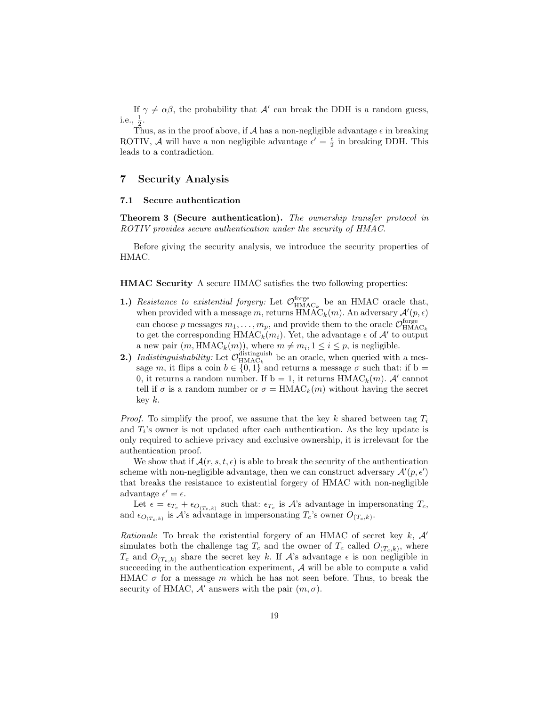If  $\gamma \neq \alpha \beta$ , the probability that A' can break the DDH is a random guess, i.e.,  $\frac{1}{2}$ .

Thus, as in the proof above, if A has a non-negligible advantage  $\epsilon$  in breaking ROTIV,  $\mathcal A$  will have a non negligible advantage  $\epsilon' = \frac{\epsilon}{2}$  in breaking DDH. This leads to a contradiction.

# 7 Security Analysis

## 7.1 Secure authentication

Theorem 3 (Secure authentication). The ownership transfer protocol in ROTIV provides secure authentication under the security of HMAC.

Before giving the security analysis, we introduce the security properties of HMAC.

HMAC Security A secure HMAC satisfies the two following properties:

- 1.) Resistance to existential forgery: Let  $\mathcal{O}_{\text{HMAC}}^{\text{forge}}$  be an HMAC oracle that, when provided with a message m, returns  $\widehat{\text{HMAC}}_k(m)$ . An adversary  $\mathcal{A}'(p, \epsilon)$ can choose p messages  $m_1, \ldots, m_p$ , and provide them to the oracle  $\mathcal{O}_{\text{HMAC}_k}^{\text{forget}}$ to get the corresponding HMAC<sub>k</sub> $(m_i)$ . Yet, the advantage  $\epsilon$  of  $\mathcal{A}'$  to output a new pair  $(m, \text{HMAC}_k(m))$ , where  $m \neq m_i, 1 \leq i \leq p$ , is negligible.
- **2.**) Indistinguishability: Let  $\mathcal{O}_{\text{HMAC}_k}^{\text{distinguish}}$  be an oracle, when queried with a message m, it flips a coin  $b \in \{0,1\}$  and returns a message  $\sigma$  such that: if  $b =$ 0, it returns a random number. If  $b = 1$ , it returns HMAC<sub>k</sub>(m). A' cannot tell if  $\sigma$  is a random number or  $\sigma = \text{HMAC}_k(m)$  without having the secret  $key k$ .

*Proof.* To simplify the proof, we assume that the key k shared between tag  $T_i$ and  $T_i$ 's owner is not updated after each authentication. As the key update is only required to achieve privacy and exclusive ownership, it is irrelevant for the authentication proof.

We show that if  $\mathcal{A}(r, s, t, \epsilon)$  is able to break the security of the authentication scheme with non-negligible advantage, then we can construct adversary  $\mathcal{A}'(p,\epsilon')$ that breaks the resistance to existential forgery of HMAC with non-negligible advantage  $\epsilon' = \epsilon$ .

Let  $\epsilon = \epsilon_{T_c} + \epsilon_{O_{(T_c,k)}}$  such that:  $\epsilon_{T_c}$  is A's advantage in impersonating  $T_c$ , and  $\epsilon_{O_{(T_c,k)}}$  is  $\mathcal{A}$ 's advantage in impersonating  $T_c$ 's owner  $O_{(T_c,k)}$ .

Rationale To break the existential forgery of an HMAC of secret key  $k$ ,  $A'$ simulates both the challenge tag  $T_c$  and the owner of  $T_c$  called  $O_{(T_c,k)}$ , where  $T_c$  and  $O_{(T_c,k)}$  share the secret key k. If A's advantage  $\epsilon$  is non negligible in succeeding in the authentication experiment,  $A$  will be able to compute a valid HMAC  $\sigma$  for a message m which he has not seen before. Thus, to break the security of HMAC,  $\mathcal{A}'$  answers with the pair  $(m, \sigma)$ .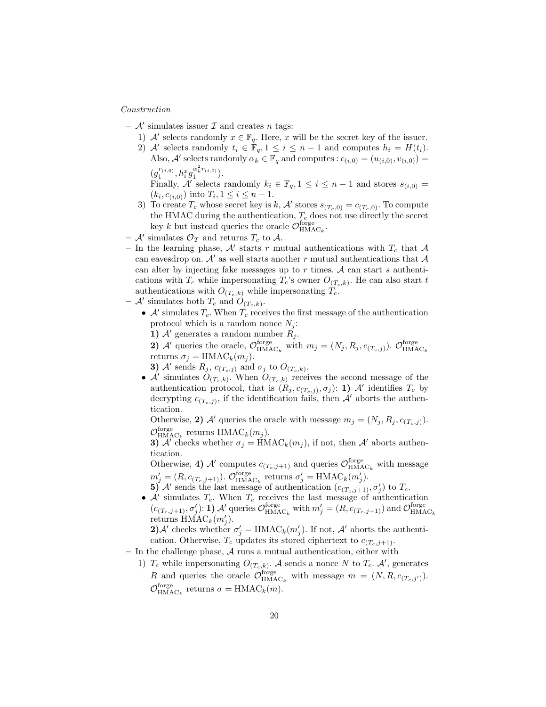#### Construction

- $-$  A' simulates issuer  $\mathcal I$  and creates n tags:
	- 1) A' selects randomly  $x \in \mathbb{F}_q$ . Here, x will be the secret key of the issuer.
	- 2) A' selects randomly  $t_i \in \mathbb{F}_q$ ,  $1 \leq i \leq n-1$  and computes  $h_i = H(t_i)$ . Also, A' selects randomly  $\alpha_k \in \mathbb{F}_q$  and computes :  $c_{(i,0)} = (u_{(i,0)}, v_{(i,0)}) =$  $(g_1^{r_{(i,0)}}, h_i^x g_1^{\alpha_k^2 r_{(i,0)}}).$

Finally, A' selects randomly  $k_i \in \mathbb{F}_q$ ,  $1 \leq i \leq n-1$  and stores  $s_{(i,0)} =$  $(k_i, c_{(i,0)})$  into  $T_i, 1 \leq i \leq n-1$ .

- 3) To create  $T_c$  whose secret key is k,  $\mathcal{A}'$  stores  $s_{(T_c,0)} = c_{(T_c,0)}$ . To compute the HMAC during the authentication,  $T_c$  does not use directly the secret key k but instead queries the oracle  $\mathcal{O}_{\text{HMAC}_k}^{\text{forge}}$ .
- $\mathcal{A}'$  simulates  $\mathcal{O}_{\mathcal{T}}$  and returns  $T_c$  to  $\mathcal{A}$ .
- In the learning phase,  $\mathcal{A}'$  starts r mutual authentications with  $T_c$  that  $\mathcal{A}$ can eavesdrop on.  $A'$  as well starts another r mutual authentications that A can alter by injecting fake messages up to  $r$  times. A can start  $s$  authentications with  $T_c$  while impersonating  $T_c$ 's owner  $O_{(T_c,k)}$ . He can also start t authentications with  $O_{(T_c,k)}$  while impersonating  $T_c$ .
- $-$  A' simulates both  $T_c$  and  $O_{(T_c,k)}$ .
	- $A'$  simulates  $T_c$ . When  $T_c$  receives the first message of the authentication protocol which is a random nonce  $N_j$ :
		- 1)  $A'$  generates a random number  $R_j$ .

2) A' queries the oracle,  $\mathcal{O}_{\text{HMAC}_k}^{\text{torge}}$  with  $m_j = (N_j, R_j, c_{(T_c,j)})$ .  $\mathcal{O}_{\text{HMAC}_k}^{\text{forge}}$ returns  $\sigma_j = \text{HMAC}_k(m_j)$ .

3) A' sends  $R_j$ ,  $c_{(T_c,j)}$  and  $\sigma_j$  to  $O_{(T_c,k)}$ .

• A' simulates  $O_{(T_c,k)}$ . When  $O_{(T_c,k)}$  receives the second message of the authentication protocol, that is  $(R_j, c_{(T_c,j)}, \sigma_j)$ : 1) A' identifies  $T_c$  by decrypting  $c_{(T_c,j)}$ , if the identification fails, then  $\mathcal{A}'$  aborts the authentication.

Otherwise, 2) A' queries the oracle with message  $m_j = (N_j, R_j, c_{(T_c,j)})$ .  $\mathcal{O}_{\text{HMAC}_k}^{\text{forge}}$  returns  $\text{HMAC}_k(m_j)$ .

3)  $\mathcal{A}'$  checks whether  $\sigma_j = \text{HMAC}_k(m_j)$ , if not, then  $\mathcal{A}'$  aborts authentication.

Otherwise, 4)  $\mathcal{A}'$  computes  $c_{(T_c,j+1)}$  and queries  $\mathcal{O}_{\text{HMAC}_k}^{\text{forget}}$  with message  $m'_j = (R, c_{(T_c,j+1)})$ .  $\mathcal{O}_{\text{HMAC}_k}^{\text{force}}$  returns  $\sigma'_j = \text{HMAC}_k(m'_j)$ .

- 5) A' sends the last message of authentication  $(c_{(T_c,j+1)}, \sigma'_j)$  to  $T_c$ .
- $A'$  simulates  $T_c$ . When  $T_c$  receives the last message of authentication  $(c_{(T_c,j+1)}, \sigma'_j):$  1) A' queries  $\mathcal{O}_{\text{HMAC}_k}^{\text{forget}}$  with  $m'_j = (R, c_{(T_c,j+1)})$  and  $\mathcal{O}_{\text{HMAC}_k}^{\text{forget}}$ returns  $\widehat{\text{HMAC}}_k(m'_j)$ .

2) A' checks whether  $\sigma'_j = \text{HMAC}_k(m'_j)$ . If not, A' aborts the authentication. Otherwise,  $T_c$  updates its stored ciphertext to  $c_{(T_c,j+1)}$ .

- $-$ In the challenge phase,  $A$  runs a mutual authentication, either with
	- 1)  $T_c$  while impersonating  $O_{(T_c,k)}$ . A sends a nonce N to  $T_c$ . A', generates R and queries the oracle  $\mathcal{O}_{\text{HMAC}_k}^{\text{forget}}$  with message  $m = (N, R, c_{(T_c, j')}).$  $\mathcal{O}_{\mathrm{HMAC}_k}^{\mathrm{forge}}$  returns  $\sigma = \mathrm{HMAC}_k(m)$ .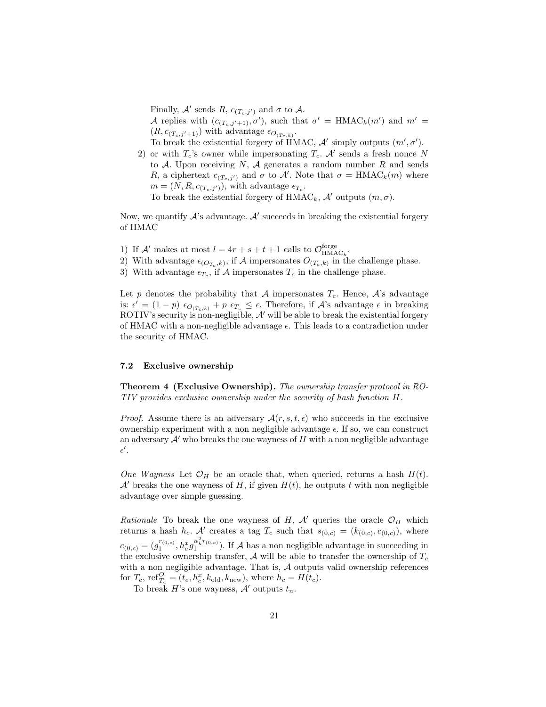Finally,  $\mathcal{A}'$  sends R,  $c_{(T_c,j')}$  and  $\sigma$  to  $\mathcal{A}$ . A replies with  $(c_{(T_c,j'+1)}, \sigma')$ , such that  $\sigma' = \text{HMAC}_k(m')$  and  $m' =$  $(R, c_{(T_c, j'+1)})$  with advantage  $\epsilon_{O_{(T_c, k)}}$ .

To break the existential forgery of HMAC,  $\mathcal{A}'$  simply outputs  $(m', \sigma')$ .

2) or with  $T_c$ 's owner while impersonating  $T_c$ . A' sends a fresh nonce N to  $A$ . Upon receiving  $N$ ,  $A$  generates a random number  $R$  and sends R, a ciphertext  $c_{(T_c,j')}$  and  $\sigma$  to  $\mathcal{A}'$ . Note that  $\sigma = \text{HMAC}_k(m)$  where  $m = (N, R, c_{(T_c, j')})$ , with advantage  $\epsilon_{T_c}$ .

To break the existential forgery of HMAC<sub>k</sub>, A' outputs  $(m, \sigma)$ .

Now, we quantify  $A$ 's advantage.  $A'$  succeeds in breaking the existential forgery of HMAC

- 1) If  $\mathcal{A}'$  makes at most  $l = 4r + s + t + 1$  calls to  $\mathcal{O}_{\text{HMAC}_k}^{\text{forget}}$ .
- 2) With advantage  $\epsilon_{(O_{T_c},k)}$ , if A impersonates  $O_{(T_c,k)}$  in the challenge phase.
- 3) With advantage  $\epsilon_{T_c}$ , if A impersonates  $T_c$  in the challenge phase.

Let p denotes the probability that A impersonates  $T_c$ . Hence, A's advantage is:  $\epsilon' = (1-p) \epsilon_{O_{(T_c,k)}} + p \epsilon_{T_c} \leq \epsilon$ . Therefore, if A's advantage  $\epsilon$  in breaking ROTIV's security is non-negligible,  $\mathcal{A}'$  will be able to break the existential forgery of HMAC with a non-negligible advantage  $\epsilon$ . This leads to a contradiction under the security of HMAC.

## 7.2 Exclusive ownership

Theorem 4 (Exclusive Ownership). The ownership transfer protocol in RO-TIV provides exclusive ownership under the security of hash function H.

*Proof.* Assume there is an adversary  $\mathcal{A}(r, s, t, \epsilon)$  who succeeds in the exclusive ownership experiment with a non negligible advantage  $\epsilon$ . If so, we can construct an adversary  $\mathcal{A}'$  who breaks the one wayness of H with a non negligible advantage  $\epsilon'.$ 

One Wayness Let  $\mathcal{O}_H$  be an oracle that, when queried, returns a hash  $H(t)$ .  $\mathcal{A}'$  breaks the one wayness of H, if given  $H(t)$ , he outputs t with non negligible advantage over simple guessing.

Rationale To break the one wayness of H,  $\mathcal{A}'$  queries the oracle  $\mathcal{O}_H$  which returns a hash  $h_c$ . A' creates a tag  $T_c$  such that  $s_{(0,c)} = (k_{(0,c)}, c_{(0,c)})$ , where  $c_{(0,c)} = (g_1^{r_{(0,c)}}, h_c^x g_1^{\alpha_k^2 r_{(0,c)}})$ . If A has a non negligible advantage in succeeding in the exclusive ownership transfer,  $A$  will be able to transfer the ownership of  $T_c$ with a non negligible advantage. That is,  $A$  outputs valid ownership references for  $T_c$ ,  $\text{ref}_{T_c}^O = (t_c, h_c^x, k_{old}, k_{new})$ , where  $h_c = H(t_c)$ .

To break H's one wayness,  $\mathcal{A}'$  outputs  $t_n$ .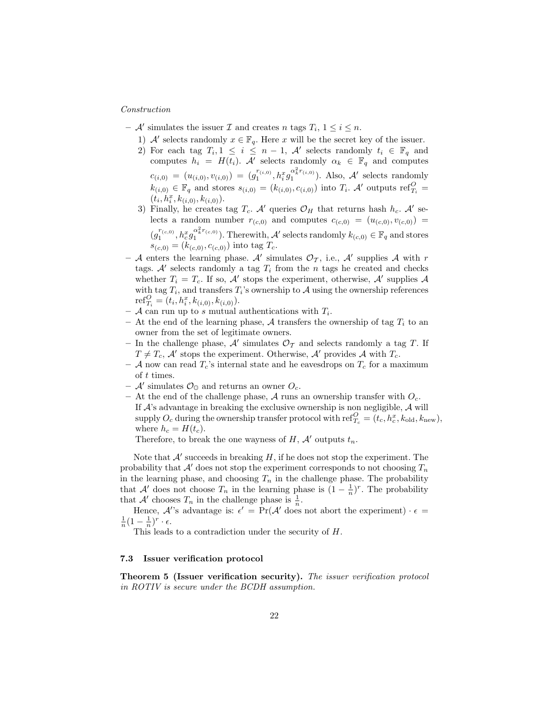#### Construction

- $-$  A' simulates the issuer  $\mathcal I$  and creates n tags  $T_i$ ,  $1 \leq i \leq n$ .
	- 1) A' selects randomly  $x \in \mathbb{F}_q$ . Here x will be the secret key of the issuer.
	- 2) For each tag  $T_i, 1 \leq i \leq n-1$ , A' selects randomly  $t_i \in \mathbb{F}_q$  and computes  $h_i = H(t_i)$ . A' selects randomly  $\alpha_k \in \mathbb{F}_q$  and computes  $c_{(i,0)} = (u_{(i,0)}, v_{(i,0)}) = (g_1^{r_{(i,0)}}, h_i^x g_1^{\alpha_k^2 r_{(i,0)}})$ . Also, A' selects randomly  $k_{(i,0)} \in \mathbb{F}_q$  and stores  $s_{(i,0)} = (k_{(i,0)}, c_{(i,0)})$  into  $T_i$ . A' outputs  $\text{ref}_{T_i}^O =$  $(t_i, h_i^x, k_{(i,0)}, k_{(i,0)}).$
	- 3) Finally, he creates tag  $T_c$ . A' queries  $\mathcal{O}_H$  that returns hash  $h_c$ . A' selects a random number  $r_{(c,0)}$  and computes  $c_{(c,0)} = (u_{(c,0)}, v_{(c,0)}) =$  $(g_1^{r_{(c,0)}}, h_c^x g_1^{\alpha_k^2 r_{(c,0)}})$ . Therewith, A' selects randomly  $k_{(c,0)} \in \mathbb{F}_q$  and stores  $s_{(c,0)} = (k_{(c,0)}, c_{(c,0)})$  into tag  $T_c$ .
- A enters the learning phase. A' simulates  $\mathcal{O}_\mathcal{T}$ , i.e., A' supplies A with r tags.  $A'$  selects randomly a tag  $T_i$  from the n tags he created and checks whether  $T_i = T_c$ . If so,  $\mathcal{A}'$  stops the experiment, otherwise,  $\mathcal{A}'$  supplies  $\mathcal{A}$ with tag  $T_i$ , and transfers  $T_i$ 's ownership to A using the ownership references  $\text{ref}_{T_i}^O = (t_i, h_i^x, k_{(i,0)}, k_{(i,0)}).$
- $-$  A can run up to s mutual authentications with  $T_i$ .
- At the end of the learning phase, A transfers the ownership of tag  $T_i$  to an owner from the set of legitimate owners.
- In the challenge phase,  $\mathcal{A}'$  simulates  $\mathcal{O}_{\mathcal{T}}$  and selects randomly a tag T. If  $T \neq T_c$ , A' stops the experiment. Otherwise, A' provides A with  $T_c$ .
- A now can read  $T_c$ 's internal state and he eavesdrops on  $T_c$  for a maximum of t times.
- $\mathcal{A}'$  simulates  $\mathcal{O}_{\mathbb{O}}$  and returns an owner  $O_c$ .
- At the end of the challenge phase,  $A$  runs an ownership transfer with  $O_c$ . If  $A$ 's advantage in breaking the exclusive ownership is non negligible,  $A$  will supply  $O_c$  during the ownership transfer protocol with  $\text{ref}_{T_c}^O = (t_c, h_c^x, k_{\text{old}}, k_{\text{new}})$ , where  $h_c = H(t_c)$ .

Therefore, to break the one wayness of  $H, \mathcal{A}'$  outputs  $t_n$ .

Note that  $\mathcal{A}'$  succeeds in breaking  $H$ , if he does not stop the experiment. The probability that  $A'$  does not stop the experiment corresponds to not choosing  $T_n$ in the learning phase, and choosing  $T_n$  in the challenge phase. The probability that A' does not choose  $T_n$  in the learning phase is  $(1 - \frac{1}{n})^r$ . The probability that A' chooses  $T_n$  in the challenge phase is  $\frac{1}{n}$ .

Hence, A''s advantage is:  $\epsilon' = \Pr(A' \text{ does not abort the experiment}) \cdot \epsilon =$  $\frac{1}{n}(1-\frac{1}{n})^r \cdot \epsilon.$ 

This leads to a contradiction under the security of H.

## 7.3 Issuer verification protocol

Theorem 5 (Issuer verification security). The issuer verification protocol in ROTIV is secure under the BCDH assumption.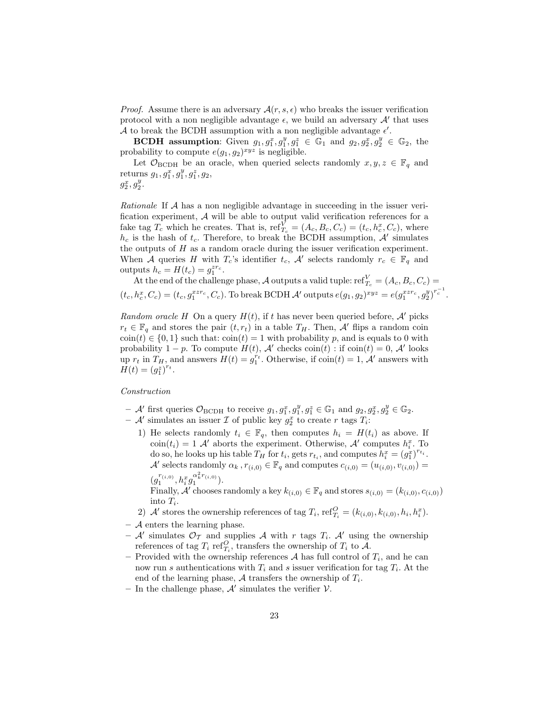*Proof.* Assume there is an adversary  $\mathcal{A}(r, s, \epsilon)$  who breaks the issuer verification protocol with a non negligible advantage  $\epsilon$ , we build an adversary  $\mathcal{A}'$  that uses A to break the BCDH assumption with a non negligible advantage  $\epsilon'$ .

**BCDH** assumption: Given  $g_1, g_1^x, g_1^y, g_1^z \in \mathbb{G}_1$  and  $g_2, g_2^x, g_2^y \in \mathbb{G}_2$ , the probability to compute  $e(g_1, g_2)^{xyz}$  is negligible.

Let  $\mathcal{O}_{BCDH}$  be an oracle, when queried selects randomly  $x, y, z \in \mathbb{F}_q$  and returns  $g_1, g_1^x, g_1^y, g_1^z, g_2$ ,

$$
g_2^x, g_2^y.
$$

Rationale If A has a non negligible advantage in succeeding in the issuer verification experiment, A will be able to output valid verification references for a fake tag  $T_c$  which he creates. That is,  $\text{ref}_{T_c}^V = (A_c, B_c, C_c) = (t_c, h_c^x, C_c)$ , where  $h_c$  is the hash of  $t_c$ . Therefore, to break the BCDH assumption,  $\mathcal{A}'$  simulates the outputs of  $H$  as a random oracle during the issuer verification experiment. When A queries H with  $T_c$ 's identifier  $t_c$ , A' selects randomly  $r_c \in \mathbb{F}_q$  and outputs  $h_c = H(t_c) = g_1^{z r_c}$ .

At the end of the challenge phase,  $\mathcal A$  outputs a valid tuple: ref $_{T_c}^V = (A_c, B_c, C_c) =$  $(t_c, h_c^x, C_c) = (t_c, g_1^{xzr_c}, C_c)$ . To break BCDH A' outputs  $e(g_1, g_2)^{xyz} = e(g_1^{xzr_c}, g_2^y)^{r_c^{-1}}$ .

Random oracle H On a query  $H(t)$ , if t has never been queried before,  $\mathcal{A}'$  picks  $r_t \in \mathbb{F}_q$  and stores the pair  $(t, r_t)$  in a table  $T_H$ . Then, A' flips a random coin  $\text{coin}(t) \in \{0, 1\}$  such that:  $\text{coin}(t) = 1$  with probability p, and is equals to 0 with probability 1 – p. To compute  $H(t)$ , A' checks  $\text{coin}(t)$ : if  $\text{coin}(t) = 0$ , A' looks up  $r_t$  in  $T_H$ , and answers  $H(t) = g_1^{r_t}$ . Otherwise, if  $\text{coin}(t) = 1$ ,  $A'$  answers with  $H(t) = (g_1^z)^{r_t}.$ 

## Construction

- $-$  A' first queries  $\mathcal{O}_{\text{BCDH}}$  to receive  $g_1, g_1^x, g_1^y, g_1^z \in \mathbb{G}_1$  and  $g_2, g_2^x, g_2^y \in \mathbb{G}_2$ .
- A' simulates an issuer  $\mathcal I$  of public key  $g_2^x$  to create r tags  $T_i$ :
	- 1) He selects randomly  $t_i \in \mathbb{F}_q$ , then computes  $h_i = H(t_i)$  as above. If  $\text{coin}(t_i) = 1$  A' aborts the experiment. Otherwise, A' computes  $h_i^x$ . To do so, he looks up his table  $T_H$  for  $t_i$ , gets  $r_{t_i}$ , and computes  $h_i^x = (g_1^x)^{r_{t_i}}$ . A' selects randomly  $\alpha_k$ ,  $r_{(i,0)} \in \mathbb{F}_q$  and computes  $c_{(i,0)} = (u_{(i,0)}, v_{(i,0)}) =$  $(g_1^{r_{(i,0)}}, h_i^x g_1^{\alpha_k^2 r_{(i,0)}}).$

Finally, A' chooses randomly a key  $k_{(i,0)} \in \mathbb{F}_q$  and stores  $s_{(i,0)} = (k_{(i,0)}, c_{(i,0)})$ into  $T_i$ .

- 2) A' stores the ownership references of tag  $T_i$ , ref $_{T_i}^O = (k_{(i,0)}, k_{(i,0)}, h_i, h_i^x)$ .
- $-$  A enters the learning phase.
- A' simulates  $\mathcal{O}_{\mathcal{T}}$  and supplies A with r tags  $T_i$ . A' using the ownership references of tag  $T_i \operatorname{ref}_{T_i}^O$ , transfers the ownership of  $T_i$  to  $\mathcal{A}$ .
- Provided with the ownership references  $A$  has full control of  $T_i$ , and he can now run s authentications with  $T_i$  and s issuer verification for tag  $T_i$ . At the end of the learning phase,  $A$  transfers the ownership of  $T_i$ .
- In the challenge phase,  $\mathcal{A}'$  simulates the verifier  $\mathcal{V}$ .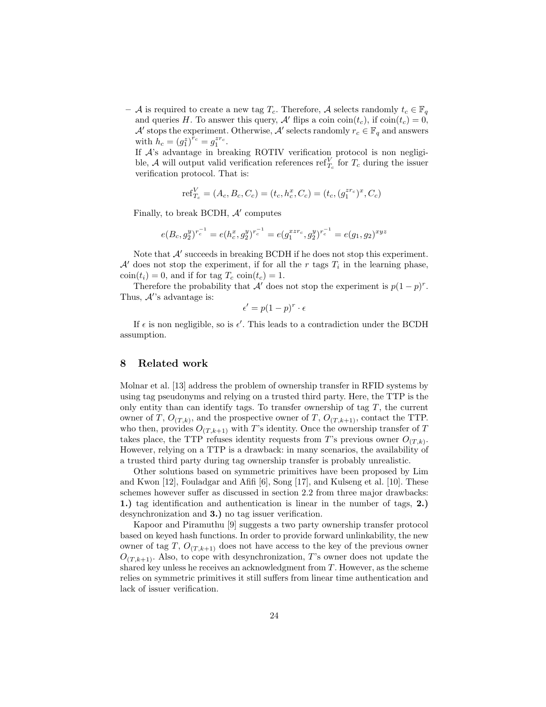$-$  A is required to create a new tag  $T_c$ . Therefore, A selects randomly  $t_c \in \mathbb{F}_q$ and queries H. To answer this query, A' flips a coin  $\text{coin}(t_c)$ , if  $\text{coin}(t_c) = 0$ , A' stops the experiment. Otherwise, A' selects randomly  $r_c \in \mathbb{F}_q$  and answers with  $h_c = (g_1^z)^{r_c} = g_1^{z r_c}$ .

If  $A$ 's advantage in breaking ROTIV verification protocol is non negligible, A will output valid verification references  $\text{ref}_{T_c}^V$  for  $T_c$  during the issuer verification protocol. That is:

ref<sup>V</sup><sub>T<sub>c</sub></sub> = 
$$
(A_c, B_c, C_c) = (t_c, h_c^x, C_c) = (t_c, (g_1^{z_{T_c}})^x, C_c)
$$

Finally, to break BCDH,  $\mathcal{A}'$  computes

$$
e(B_c, g_2^y)^{r_c^{-1}} = e(h_c^x, g_2^y)^{r_c^{-1}} = e(g_1^{x z r_c}, g_2^y)^{r_c^{-1}} = e(g_1, g_2)^{xyz}
$$

Note that  $A'$  succeeds in breaking BCDH if he does not stop this experiment.  $\mathcal{A}'$  does not stop the experiment, if for all the r tags  $T_i$  in the learning phase,  $\text{coin}(t_i) = 0$ , and if for tag  $T_c \text{ coin}(t_c) = 1$ .

Therefore the probability that  $\mathcal{A}'$  does not stop the experiment is  $p(1-p)^r$ . Thus,  $\mathcal{A}'$ 's advantage is:

$$
\epsilon' = p(1-p)^r \cdot \epsilon
$$

If  $\epsilon$  is non negligible, so is  $\epsilon'$ . This leads to a contradiction under the BCDH assumption.

# 8 Related work

Molnar et al. [13] address the problem of ownership transfer in RFID systems by using tag pseudonyms and relying on a trusted third party. Here, the TTP is the only entity than can identify tags. To transfer ownership of tag  $T$ , the current owner of T,  $O_{(T,k)}$ , and the prospective owner of T,  $O_{(T,k+1)}$ , contact the TTP. who then, provides  $O_{(T, k+1)}$  with T's identity. Once the ownership transfer of T takes place, the TTP refuses identity requests from T's previous owner  $O_{(T,k)}$ . However, relying on a TTP is a drawback: in many scenarios, the availability of a trusted third party during tag ownership transfer is probably unrealistic.

Other solutions based on symmetric primitives have been proposed by Lim and Kwon [12], Fouladgar and Afifi [6], Song [17], and Kulseng et al. [10]. These schemes however suffer as discussed in section 2.2 from three major drawbacks: 1.) tag identification and authentication is linear in the number of tags, 2.) desynchronization and 3.) no tag issuer verification.

Kapoor and Piramuthu [9] suggests a two party ownership transfer protocol based on keyed hash functions. In order to provide forward unlinkability, the new owner of tag T,  $O_{(T, k+1)}$  does not have access to the key of the previous owner  $O_{(T, k+1)}$ . Also, to cope with desynchronization, T's owner does not update the shared key unless he receives an acknowledgment from T. However, as the scheme relies on symmetric primitives it still suffers from linear time authentication and lack of issuer verification.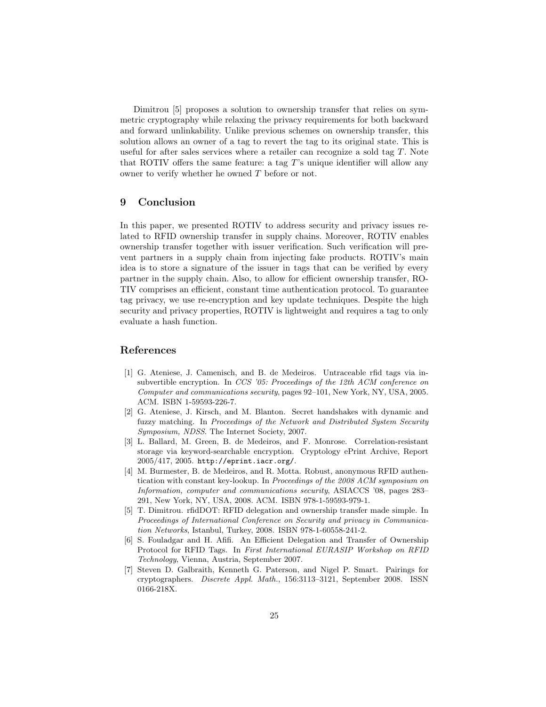Dimitrou [5] proposes a solution to ownership transfer that relies on symmetric cryptography while relaxing the privacy requirements for both backward and forward unlinkability. Unlike previous schemes on ownership transfer, this solution allows an owner of a tag to revert the tag to its original state. This is useful for after sales services where a retailer can recognize a sold tag T. Note that ROTIV offers the same feature: a tag T's unique identifier will allow any owner to verify whether he owned T before or not.

# 9 Conclusion

In this paper, we presented ROTIV to address security and privacy issues related to RFID ownership transfer in supply chains. Moreover, ROTIV enables ownership transfer together with issuer verification. Such verification will prevent partners in a supply chain from injecting fake products. ROTIV's main idea is to store a signature of the issuer in tags that can be verified by every partner in the supply chain. Also, to allow for efficient ownership transfer, RO-TIV comprises an efficient, constant time authentication protocol. To guarantee tag privacy, we use re-encryption and key update techniques. Despite the high security and privacy properties, ROTIV is lightweight and requires a tag to only evaluate a hash function.

# References

- [1] G. Ateniese, J. Camenisch, and B. de Medeiros. Untraceable rfid tags via insubvertible encryption. In CCS '05: Proceedings of the 12th ACM conference on Computer and communications security, pages 92–101, New York, NY, USA, 2005. ACM. ISBN 1-59593-226-7.
- [2] G. Ateniese, J. Kirsch, and M. Blanton. Secret handshakes with dynamic and fuzzy matching. In Proceedings of the Network and Distributed System Security Symposium, NDSS. The Internet Society, 2007.
- [3] L. Ballard, M. Green, B. de Medeiros, and F. Monrose. Correlation-resistant storage via keyword-searchable encryption. Cryptology ePrint Archive, Report 2005/417, 2005. http://eprint.iacr.org/.
- [4] M. Burmester, B. de Medeiros, and R. Motta. Robust, anonymous RFID authentication with constant key-lookup. In Proceedings of the 2008 ACM symposium on Information, computer and communications security, ASIACCS '08, pages 283– 291, New York, NY, USA, 2008. ACM. ISBN 978-1-59593-979-1.
- [5] T. Dimitrou. rfidDOT: RFID delegation and ownership transfer made simple. In Proceedings of International Conference on Security and privacy in Communication Networks, Istanbul, Turkey, 2008. ISBN 978-1-60558-241-2.
- [6] S. Fouladgar and H. Afifi. An Efficient Delegation and Transfer of Ownership Protocol for RFID Tags. In First International EURASIP Workshop on RFID Technology, Vienna, Austria, September 2007.
- [7] Steven D. Galbraith, Kenneth G. Paterson, and Nigel P. Smart. Pairings for cryptographers. Discrete Appl. Math., 156:3113–3121, September 2008. ISSN 0166-218X.